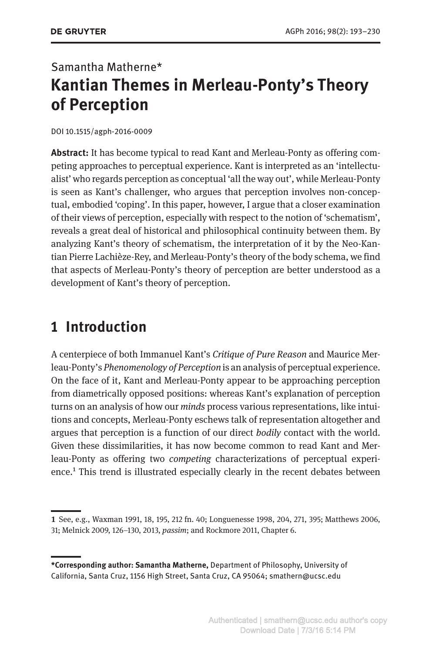# Samantha Matherne\* **Kantian Themes in Merleau-Ponty's Theory of Perception**

#### DOI 10.1515/agph-2016-0009

**Abstract:** It has become typical to read Kant and Merleau-Ponty as offering competing approaches to perceptual experience. Kant is interpreted as an 'intellectualist' who regards perception as conceptual 'all the way out', while Merleau-Ponty is seen as Kant's challenger, who argues that perception involves non-conceptual, embodied 'coping'. In this paper, however, I argue that a closer examination of their views of perception, especially with respect to the notion of 'schematism', reveals a great deal of historical and philosophical continuity between them. By analyzing Kant's theory of schematism, the interpretation of it by the Neo-Kantian Pierre Lachièze-Rey, and Merleau-Ponty's theory of the body schema, we find that aspects of Merleau-Ponty's theory of perception are better understood as a development of Kant's theory of perception.

### **1 Introduction**

A centerpiece of both Immanuel Kant's *Critique of Pure Reason* and Maurice Merleau-Ponty's *Phenomenology of Perception* is an analysis of perceptual experience. On the face of it, Kant and Merleau-Ponty appear to be approaching perception from diametrically opposed positions: whereas Kant's explanation of perception turns on an analysis of how our *minds* process various representations, like intuitions and concepts, Merleau-Ponty eschews talk of representation altogether and argues that perception is a function of our direct *bodily* contact with the world. Given these dissimilarities, it has now become common to read Kant and Merleau-Ponty as offering two *competing* characterizations of perceptual experience.<sup>1</sup> This trend is illustrated especially clearly in the recent debates between

**<sup>1</sup>** See, e.g., Waxman 1991, 18, 195, 212 fn. 40; Longuenesse 1998, 204, 271, 395; Matthews 2006, 31; Melnick 2009, 126–130, 2013, *passim*; and Rockmore 2011, Chapter 6.

**<sup>\*</sup>Corresponding author: Samantha Matherne,** Department of Philosophy, University of California, Santa Cruz, 1156 High Street, Santa Cruz, CA 95064; smathern@ucsc.edu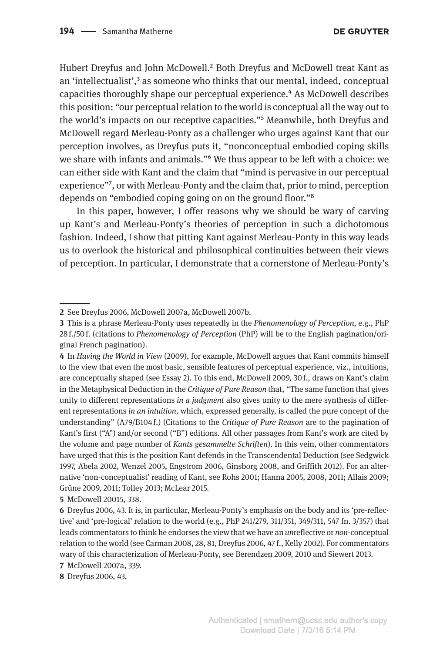Hubert Dreyfus and John McDowell.<sup>2</sup> Both Dreyfus and McDowell treat Kant as an 'intellectualist',<sup>3</sup> as someone who thinks that our mental, indeed, conceptual capacities thoroughly shape our perceptual experience.4 As McDowell describes this position: "our perceptual relation to the world is conceptual all the way out to the world's impacts on our receptive capacities."5 Meanwhile, both Dreyfus and McDowell regard Merleau-Ponty as a challenger who urges against Kant that our perception involves, as Dreyfus puts it, "nonconceptual embodied coping skills we share with infants and animals."6 We thus appear to be left with a choice: we can either side with Kant and the claim that "mind is pervasive in our perceptual experience"7, or with Merleau-Ponty and the claim that, prior to mind, perception depends on "embodied coping going on on the ground floor."8

In this paper, however, I offer reasons why we should be wary of carving up Kant's and Merleau-Ponty's theories of perception in such a dichotomous fashion. Indeed, I show that pitting Kant against Merleau-Ponty in this way leads us to overlook the historical and philosophical continuities between their views of perception. In particular, I demonstrate that a cornerstone of Merleau-Ponty's

**5** McDowell 20015, 338.

**<sup>2</sup>** See Dreyfus 2006, McDowell 2007a, McDowell 2007b.

**<sup>3</sup>** This is a phrase Merleau-Ponty uses repeatedly in the *Phenomenology of Perception*, e.g., PhP 28 f./50 f. (citations to *Phenomenology of Perception* (PhP) will be to the English pagination/original French pagination).

**<sup>4</sup>** In *Having the World in View* (2009), for example, McDowell argues that Kant commits himself to the view that even the most basic, sensible features of perceptual experience, viz., intuitions, are conceptually shaped (see Essay 2). To this end, McDowell 2009, 30 f., draws on Kant's claim in the Metaphysical Deduction in the *Critique of Pure Reason* that, "The same function that gives unity to different representations *in a judgment* also gives unity to the mere synthesis of different representations *in an intuition*, which, expressed generally, is called the pure concept of the understanding" (A79/B104 f.) (Citations to the *Critique of Pure Reason* are to the pagination of Kant's first ("A") and/or second ("B") editions. All other passages from Kant's work are cited by the volume and page number of *Kants gesammelte Schriften*). In this vein, other commentators have urged that this is the position Kant defends in the Transcendental Deduction (see Sedgwick 1997, Abela 2002, Wenzel 2005, Engstrom 2006, Ginsborg 2008, and Griffith 2012). For an alternative 'non-conceptualist' reading of Kant, see Rohs 2001; Hanna 2005, 2008, 2011; Allais 2009; Grüne 2009, 2011; Tolley 2013; McLear 2015.

**<sup>6</sup>** Dreyfus 2006, 43. It is, in particular, Merleau-Ponty's emphasis on the body and its 'pre-reflective' and 'pre-logical' relation to the world (e.g., PhP 241/279, 311/351, 349/311, 547 fn. 3/357) that leads commentators to think he endorses the view that we have an *un*reflective or *non*-conceptual relation to the world (see Carman 2008, 28, 81, Dreyfus 2006, 47f., Kelly 2002). For commentators wary of this characterization of Merleau-Ponty, see Berendzen 2009, 2010 and Siewert 2013.

**<sup>7</sup>** McDowell 2007a, 339.

**<sup>8</sup>** Dreyfus 2006, 43.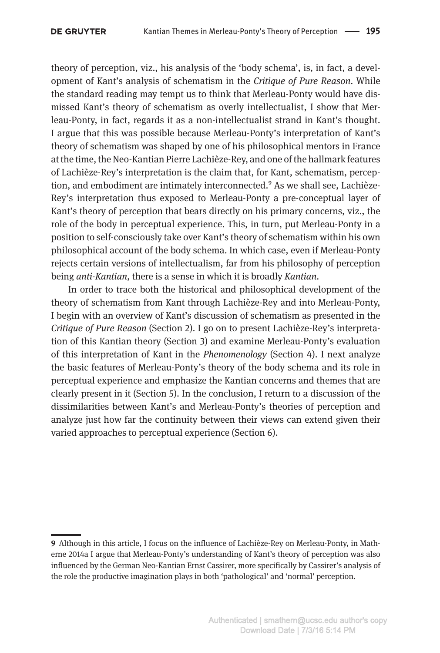theory of perception, viz., his analysis of the 'body schema', is, in fact, a development of Kant's analysis of schematism in the *Critique of Pure Reason*. While the standard reading may tempt us to think that Merleau-Ponty would have dismissed Kant's theory of schematism as overly intellectualist, I show that Merleau-Ponty, in fact, regards it as a non-intellectualist strand in Kant's thought. I argue that this was possible because Merleau-Ponty's interpretation of Kant's theory of schematism was shaped by one of his philosophical mentors in France at the time, the Neo-Kantian Pierre Lachièze-Rey, and one of the hallmark features of Lachièze-Rey's interpretation is the claim that, for Kant, schematism, perception, and embodiment are intimately interconnected.<sup>9</sup> As we shall see, Lachièze-Rey's interpretation thus exposed to Merleau-Ponty a pre-conceptual layer of Kant's theory of perception that bears directly on his primary concerns, viz., the role of the body in perceptual experience. This, in turn, put Merleau-Ponty in a position to self-consciously take over Kant's theory of schematism within his own philosophical account of the body schema. In which case, even if Merleau-Ponty rejects certain versions of intellectualism, far from his philosophy of perception being *anti-Kantian*, there is a sense in which it is broadly *Kantian*.

In order to trace both the historical and philosophical development of the theory of schematism from Kant through Lachièze-Rey and into Merleau-Ponty, I begin with an overview of Kant's discussion of schematism as presented in the *Critique of Pure Reason* (Section 2). I go on to present Lachièze-Rey's interpretation of this Kantian theory (Section 3) and examine Merleau-Ponty's evaluation of this interpretation of Kant in the *Phenomenology* (Section 4). I next analyze the basic features of Merleau-Ponty's theory of the body schema and its role in perceptual experience and emphasize the Kantian concerns and themes that are clearly present in it (Section 5). In the conclusion, I return to a discussion of the dissimilarities between Kant's and Merleau-Ponty's theories of perception and analyze just how far the continuity between their views can extend given their varied approaches to perceptual experience (Section 6).

**<sup>9</sup>** Although in this article, I focus on the influence of Lachièze-Rey on Merleau-Ponty, in Matherne 2014a I argue that Merleau-Ponty's understanding of Kant's theory of perception was also influenced by the German Neo-Kantian Ernst Cassirer, more specifically by Cassirer's analysis of the role the productive imagination plays in both 'pathological' and 'normal' perception.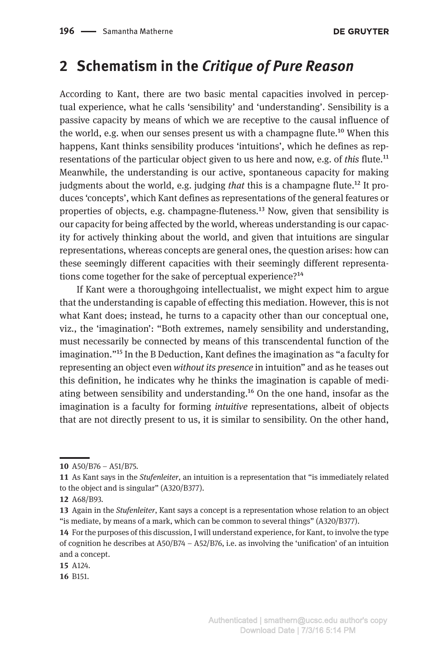### **2 Schematism in the** *Critique of Pure Reason*

According to Kant, there are two basic mental capacities involved in perceptual experience, what he calls 'sensibility' and 'understanding'. Sensibility is a passive capacity by means of which we are receptive to the causal influence of the world, e.g. when our senses present us with a champagne flute.10 When this happens, Kant thinks sensibility produces 'intuitions', which he defines as representations of the particular object given to us here and now, e.g. of *this* flute.11 Meanwhile, the understanding is our active, spontaneous capacity for making judgments about the world, e.g. judging *that* this is a champagne flute.12 It produces 'concepts', which Kant defines as representations of the general features or properties of objects, e.g. champagne-fluteness.13 Now, given that sensibility is our capacity for being affected by the world, whereas understanding is our capacity for actively thinking about the world, and given that intuitions are singular representations, whereas concepts are general ones, the question arises: how can these seemingly different capacities with their seemingly different representations come together for the sake of perceptual experience?<sup>14</sup>

If Kant were a thoroughgoing intellectualist, we might expect him to argue that the understanding is capable of effecting this mediation. However, this is not what Kant does; instead, he turns to a capacity other than our conceptual one, viz., the 'imagination': "Both extremes, namely sensibility and understanding, must necessarily be connected by means of this transcendental function of the imagination."15 In the B Deduction, Kant defines the imagination as "a faculty for representing an object even *without its presence* in intuition" and as he teases out this definition, he indicates why he thinks the imagination is capable of mediating between sensibility and understanding.16 On the one hand, insofar as the imagination is a faculty for forming *intuitive* representations, albeit of objects that are not directly present to us, it is similar to sensibility. On the other hand,

**16** B151.

**<sup>10</sup>** A50/B76 – A51/B75.

**<sup>11</sup>** As Kant says in the *Stufenleiter*, an intuition is a representation that "is immediately related to the object and is singular" (A320/B377).

**<sup>12</sup>** A68/B93.

**<sup>13</sup>** Again in the *Stufenleiter*, Kant says a concept is a representation whose relation to an object "is mediate, by means of a mark, which can be common to several things" (A320/B377).

**<sup>14</sup>** For the purposes of this discussion, I will understand experience, for Kant, to involve the type of cognition he describes at A50/B74 – A52/B76, i.e. as involving the 'unification' of an intuition and a concept.

**<sup>15</sup>** A124.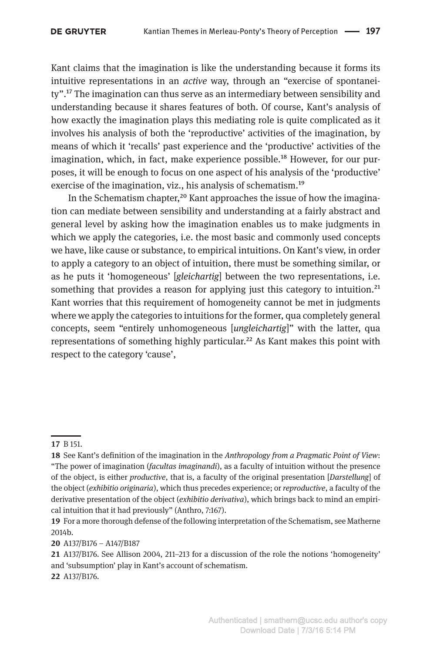Kant claims that the imagination is like the understanding because it forms its intuitive representations in an *active* way, through an "exercise of spontaneity".17 The imagination can thus serve as an intermediary between sensibility and understanding because it shares features of both. Of course, Kant's analysis of how exactly the imagination plays this mediating role is quite complicated as it involves his analysis of both the 'reproductive' activities of the imagination, by means of which it 'recalls' past experience and the 'productive' activities of the imagination, which, in fact, make experience possible.<sup>18</sup> However, for our purposes, it will be enough to focus on one aspect of his analysis of the 'productive' exercise of the imagination, viz., his analysis of schematism.<sup>19</sup>

In the Schematism chapter,<sup>20</sup> Kant approaches the issue of how the imagination can mediate between sensibility and understanding at a fairly abstract and general level by asking how the imagination enables us to make judgments in which we apply the categories, i.e. the most basic and commonly used concepts we have, like cause or substance, to empirical intuitions. On Kant's view, in order to apply a category to an object of intuition, there must be something similar, or as he puts it 'homogeneous' [*gleichartig*] between the two representations, i.e. something that provides a reason for applying just this category to intuition.<sup>21</sup> Kant worries that this requirement of homogeneity cannot be met in judgments where we apply the categories to intuitions for the former, qua completely general concepts, seem "entirely unhomogeneous [*ungleichartig*]" with the latter, qua representations of something highly particular.<sup>22</sup> As Kant makes this point with respect to the category 'cause',

**20** A137/B176 – A147/B187

**<sup>17</sup>** B 151.

**<sup>18</sup>** See Kant's definition of the imagination in the *Anthropology from a Pragmatic Point of View*: "The power of imagination (*facultas imaginandi*), as a faculty of intuition without the presence of the object, is either *productive*, that is, a faculty of the original presentation [*Darstellung*] of the object (*exhibitio originaria*), which thus precedes experience; or *reproductive*, a faculty of the derivative presentation of the object (*exhibitio derivativa*), which brings back to mind an empirical intuition that it had previously" (Anthro, 7:167).

**<sup>19</sup>** For a more thorough defense of the following interpretation of the Schematism, see Matherne 2014b.

**<sup>21</sup>** A137/B176. See Allison 2004, 211–213 for a discussion of the role the notions 'homogeneity' and 'subsumption' play in Kant's account of schematism. **22** A137/B176.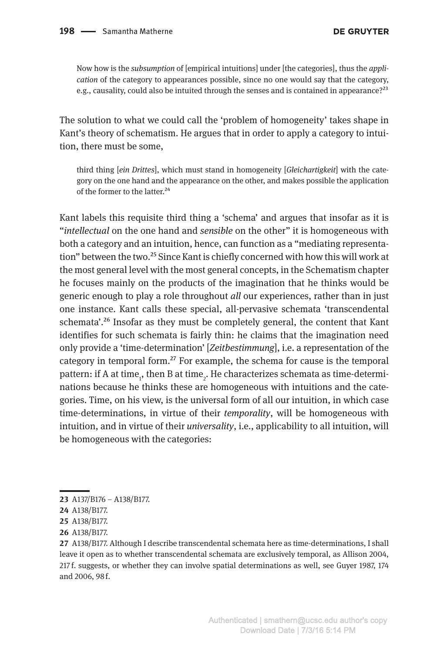Now how is the *subsumption* of [empirical intuitions] under [the categories], thus the *application* of the category to appearances possible, since no one would say that the category, e.g., causality, could also be intuited through the senses and is contained in appearance?<sup>23</sup>

The solution to what we could call the 'problem of homogeneity' takes shape in Kant's theory of schematism. He argues that in order to apply a category to intuition, there must be some,

third thing [*ein Drittes*], which must stand in homogeneity [*Gleichartigkeit*] with the category on the one hand and the appearance on the other, and makes possible the application of the former to the latter.<sup>24</sup>

Kant labels this requisite third thing a 'schema' and argues that insofar as it is "*intellectual* on the one hand and *sensible* on the other" it is homogeneous with both a category and an intuition, hence, can function as a "mediating representation" between the two.<sup>25</sup> Since Kant is chiefly concerned with how this will work at the most general level with the most general concepts, in the Schematism chapter he focuses mainly on the products of the imagination that he thinks would be generic enough to play a role throughout *all* our experiences, rather than in just one instance. Kant calls these special, all-pervasive schemata 'transcendental schemata'.<sup>26</sup> Insofar as they must be completely general, the content that Kant identifies for such schemata is fairly thin: he claims that the imagination need only provide a 'time-determination' [*Zeitbestimmung*], i.e. a representation of the category in temporal form.<sup>27</sup> For example, the schema for cause is the temporal pattern: if A at time<sub>1</sub>, then B at time<sub>2</sub>. He characterizes schemata as time-determinations because he thinks these are homogeneous with intuitions and the categories. Time, on his view, is the universal form of all our intuition, in which case time-determinations, in virtue of their *temporality*, will be homogeneous with intuition, and in virtue of their *universality*, i.e., applicability to all intuition, will be homogeneous with the categories:

**27** A138/B177. Although I describe transcendental schemata here as time-determinations, I shall leave it open as to whether transcendental schemata are exclusively temporal, as Allison 2004, 217 f. suggests, or whether they can involve spatial determinations as well, see Guyer 1987, 174 and 2006, 98 f.

**<sup>23</sup>** A137/B176 – A138/B177.

**<sup>24</sup>** A138/B177.

**<sup>25</sup>** A138/B177.

**<sup>26</sup>** A138/B177.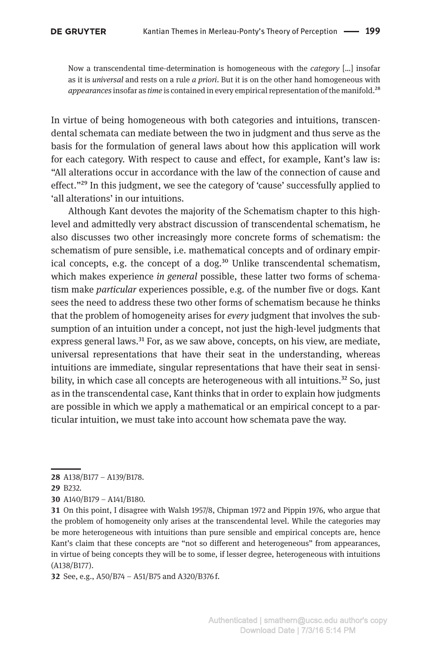Now a transcendental time-determination is homogeneous with the *category* […] insofar as it is *universal* and rests on a rule *a priori*. But it is on the other hand homogeneous with *appearances* insofar as *time* is contained in every empirical representation of the manifold.28

In virtue of being homogeneous with both categories and intuitions, transcendental schemata can mediate between the two in judgment and thus serve as the basis for the formulation of general laws about how this application will work for each category. With respect to cause and effect, for example, Kant's law is: "All alterations occur in accordance with the law of the connection of cause and effect."29 In this judgment, we see the category of 'cause' successfully applied to 'all alterations' in our intuitions.

Although Kant devotes the majority of the Schematism chapter to this highlevel and admittedly very abstract discussion of transcendental schematism, he also discusses two other increasingly more concrete forms of schematism: the schematism of pure sensible, i.e. mathematical concepts and of ordinary empirical concepts, e.g. the concept of a dog.<sup>30</sup> Unlike transcendental schematism, which makes experience *in general* possible, these latter two forms of schematism make *particular* experiences possible, e.g. of the number five or dogs. Kant sees the need to address these two other forms of schematism because he thinks that the problem of homogeneity arises for *every* judgment that involves the subsumption of an intuition under a concept, not just the high-level judgments that express general laws.<sup>31</sup> For, as we saw above, concepts, on his view, are mediate, universal representations that have their seat in the understanding, whereas intuitions are immediate, singular representations that have their seat in sensibility, in which case all concepts are heterogeneous with all intuitions.<sup>32</sup> So, just as in the transcendental case, Kant thinks that in order to explain how judgments are possible in which we apply a mathematical or an empirical concept to a particular intuition, we must take into account how schemata pave the way.

**32** See, e.g., A50/B74 – A51/B75 and A320/B376 f.

**<sup>28</sup>** A138/B177 – A139/B178.

**<sup>29</sup>** B232.

**<sup>30</sup>** A140/B179 – A141/B180.

**<sup>31</sup>** On this point, I disagree with Walsh 1957/8, Chipman 1972 and Pippin 1976, who argue that the problem of homogeneity only arises at the transcendental level. While the categories may be more heterogeneous with intuitions than pure sensible and empirical concepts are, hence Kant's claim that these concepts are "not so different and heterogeneous" from appearances, in virtue of being concepts they will be to some, if lesser degree, heterogeneous with intuitions (A138/B177).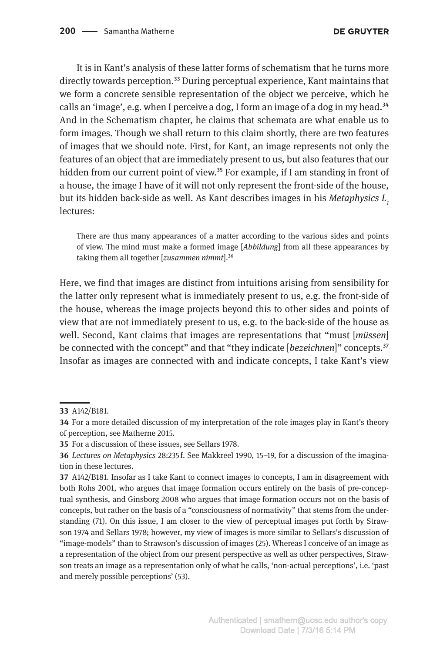It is in Kant's analysis of these latter forms of schematism that he turns more directly towards perception.<sup>33</sup> During perceptual experience, Kant maintains that we form a concrete sensible representation of the object we perceive, which he calls an 'image', e.g. when I perceive a dog, I form an image of a dog in my head.<sup>34</sup> And in the Schematism chapter, he claims that schemata are what enable us to form images. Though we shall return to this claim shortly, there are two features of images that we should note. First, for Kant, an image represents not only the features of an object that are immediately present to us, but also features that our hidden from our current point of view.<sup>35</sup> For example, if I am standing in front of a house, the image I have of it will not only represent the front-side of the house, but its hidden back-side as well. As Kant describes images in his *Metaphysics L*<sub>1</sub> lectures:

There are thus many appearances of a matter according to the various sides and points of view. The mind must make a formed image [*Abbildung*] from all these appearances by taking them all together [*zusammen nimmt*].36

Here, we find that images are distinct from intuitions arising from sensibility for the latter only represent what is immediately present to us, e.g. the front-side of the house, whereas the image projects beyond this to other sides and points of view that are not immediately present to us, e.g. to the back-side of the house as well. Second, Kant claims that images are representations that "must [*müssen*] be connected with the concept" and that "they indicate [*bezeichnen*]" concepts.37 Insofar as images are connected with and indicate concepts, I take Kant's view

**<sup>33</sup>** A142/B181.

**<sup>34</sup>** For a more detailed discussion of my interpretation of the role images play in Kant's theory of perception, see Matherne 2015.

**<sup>35</sup>** For a discussion of these issues, see Sellars 1978.

**<sup>36</sup>** *Lectures on Metaphysics* 28:235 f. See Makkreel 1990, 15–19, for a discussion of the imagination in these lectures.

**<sup>37</sup>** A142/B181. Insofar as I take Kant to connect images to concepts, I am in disagreement with both Rohs 2001, who argues that image formation occurs entirely on the basis of pre-conceptual synthesis, and Ginsborg 2008 who argues that image formation occurs not on the basis of concepts, but rather on the basis of a "consciousness of normativity" that stems from the understanding (71). On this issue, I am closer to the view of perceptual images put forth by Strawson 1974 and Sellars 1978; however, my view of images is more similar to Sellars's discussion of "image-models" than to Strawson's discussion of images (25). Whereas I conceive of an image as a representation of the object from our present perspective as well as other perspectives, Strawson treats an image as a representation only of what he calls, 'non-actual perceptions', i.e. 'past and merely possible perceptions' (53).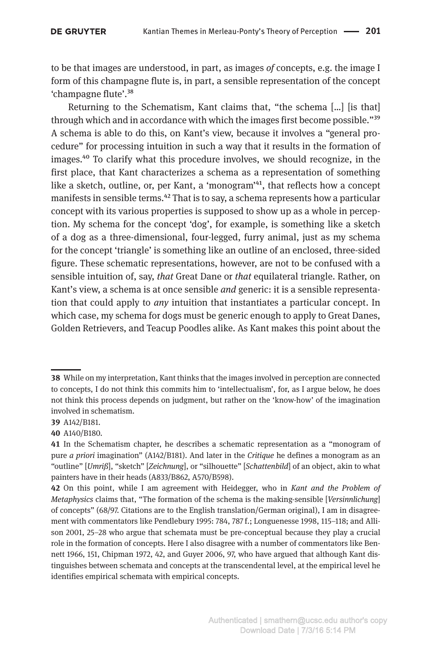to be that images are understood, in part, as images *of* concepts, e.g. the image I form of this champagne flute is, in part, a sensible representation of the concept 'champagne flute'.38

Returning to the Schematism, Kant claims that, "the schema […] [is that] through which and in accordance with which the images first become possible."39 A schema is able to do this, on Kant's view, because it involves a "general procedure" for processing intuition in such a way that it results in the formation of images.40 To clarify what this procedure involves, we should recognize, in the first place, that Kant characterizes a schema as a representation of something like a sketch, outline, or, per Kant, a 'monogram'<sup>41</sup>, that reflects how a concept manifests in sensible terms.<sup>42</sup> That is to say, a schema represents how a particular concept with its various properties is supposed to show up as a whole in perception. My schema for the concept 'dog', for example, is something like a sketch of a dog as a three-dimensional, four-legged, furry animal, just as my schema for the concept 'triangle' is something like an outline of an enclosed, three-sided figure. These schematic representations, however, are not to be confused with a sensible intuition of, say, *that* Great Dane or *that* equilateral triangle. Rather, on Kant's view, a schema is at once sensible *and* generic: it is a sensible representation that could apply to *any* intuition that instantiates a particular concept. In which case, my schema for dogs must be generic enough to apply to Great Danes, Golden Retrievers, and Teacup Poodles alike. As Kant makes this point about the

**<sup>38</sup>** While on my interpretation, Kant thinks that the images involved in perception are connected to concepts, I do not think this commits him to 'intellectualism', for, as I argue below, he does not think this process depends on judgment, but rather on the 'know-how' of the imagination involved in schematism.

**<sup>39</sup>** A142/B181.

**<sup>40</sup>** A140/B180.

**<sup>41</sup>** In the Schematism chapter, he describes a schematic representation as a "monogram of pure *a priori* imagination" (A142/B181). And later in the *Critique* he defines a monogram as an "outline" [*Umriß*], "sketch" [*Zeichnung*], or "silhouette" [*Schattenbild*] of an object, akin to what painters have in their heads (A833/B862, A570/B598).

**<sup>42</sup>** On this point, while I am agreement with Heidegger, who in *Kant and the Problem of Metaphysics* claims that, "The formation of the schema is the making-sensible [*Versinnlichung*] of concepts" (68/97. Citations are to the English translation/German original), I am in disagreement with commentators like Pendlebury 1995: 784, 787 f.; Longuenesse 1998, 115–118; and Allison 2001, 25–28 who argue that schemata must be pre-conceptual because they play a crucial role in the formation of concepts. Here I also disagree with a number of commentators like Bennett 1966, 151, Chipman 1972, 42, and Guyer 2006, 97, who have argued that although Kant distinguishes between schemata and concepts at the transcendental level, at the empirical level he identifies empirical schemata with empirical concepts.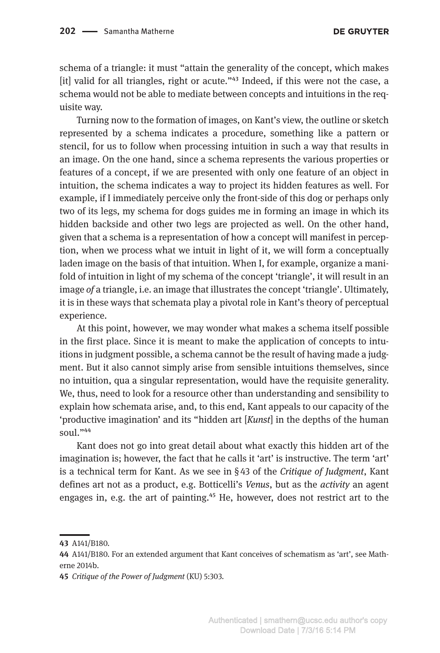schema of a triangle: it must "attain the generality of the concept, which makes  $\left| \right|$  valid for all triangles, right or acute."<sup>43</sup> Indeed, if this were not the case, a schema would not be able to mediate between concepts and intuitions in the requisite way.

Turning now to the formation of images, on Kant's view, the outline or sketch represented by a schema indicates a procedure, something like a pattern or stencil, for us to follow when processing intuition in such a way that results in an image. On the one hand, since a schema represents the various properties or features of a concept, if we are presented with only one feature of an object in intuition, the schema indicates a way to project its hidden features as well. For example, if I immediately perceive only the front-side of this dog or perhaps only two of its legs, my schema for dogs guides me in forming an image in which its hidden backside and other two legs are projected as well. On the other hand, given that a schema is a representation of how a concept will manifest in perception, when we process what we intuit in light of it, we will form a conceptually laden image on the basis of that intuition. When I, for example, organize a manifold of intuition in light of my schema of the concept 'triangle', it will result in an image *of* a triangle, i.e. an image that illustrates the concept 'triangle'. Ultimately, it is in these ways that schemata play a pivotal role in Kant's theory of perceptual experience.

At this point, however, we may wonder what makes a schema itself possible in the first place. Since it is meant to make the application of concepts to intuitions in judgment possible, a schema cannot be the result of having made a judgment. But it also cannot simply arise from sensible intuitions themselves, since no intuition, qua a singular representation, would have the requisite generality. We, thus, need to look for a resource other than understanding and sensibility to explain how schemata arise, and, to this end, Kant appeals to our capacity of the 'productive imagination' and its "hidden art [*Kunst*] in the depths of the human soul."44

Kant does not go into great detail about what exactly this hidden art of the imagination is; however, the fact that he calls it 'art' is instructive. The term 'art' is a technical term for Kant. As we see in § 43 of the *Critique of Judgment*, Kant defines art not as a product, e.g. Botticelli's *Venus*, but as the *activity* an agent engages in, e.g. the art of painting.<sup>45</sup> He, however, does not restrict art to the

**<sup>43</sup>** A141/B180.

**<sup>44</sup>** A141/B180. For an extended argument that Kant conceives of schematism as 'art', see Matherne 2014b.

**<sup>45</sup>** *Critique of the Power of Judgment* (KU) 5:303.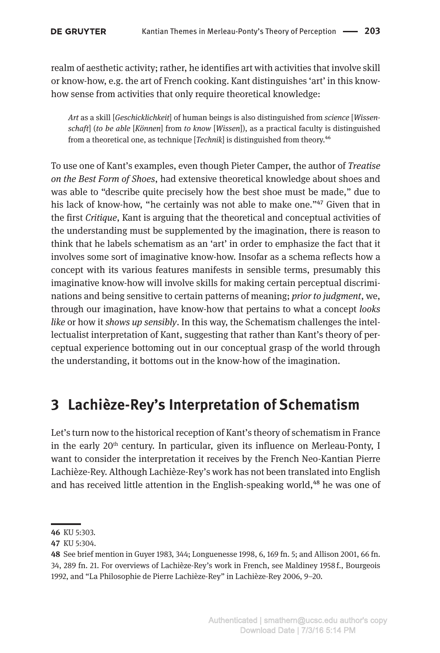realm of aesthetic activity; rather, he identifies art with activities that involve skill or know-how, e.g. the art of French cooking. Kant distinguishes 'art' in this knowhow sense from activities that only require theoretical knowledge:

*Art* as a skill [*Geschicklichkeit*] of human beings is also distinguished from *science* [*Wissenschaft*] (*to be able* [*Können*] from *to know* [*Wissen*]), as a practical faculty is distinguished from a theoretical one, as technique [*Technik*] is distinguished from theory.46

To use one of Kant's examples, even though Pieter Camper, the author of *Treatise on the Best Form of Shoes*, had extensive theoretical knowledge about shoes and was able to "describe quite precisely how the best shoe must be made," due to his lack of know-how, "he certainly was not able to make one."<sup>47</sup> Given that in the first *Critique*, Kant is arguing that the theoretical and conceptual activities of the understanding must be supplemented by the imagination, there is reason to think that he labels schematism as an 'art' in order to emphasize the fact that it involves some sort of imaginative know-how. Insofar as a schema reflects how a concept with its various features manifests in sensible terms, presumably this imaginative know-how will involve skills for making certain perceptual discriminations and being sensitive to certain patterns of meaning; *prior to judgment*, we, through our imagination, have know-how that pertains to what a concept *looks like* or how it *shows up sensibly*. In this way, the Schematism challenges the intellectualist interpretation of Kant, suggesting that rather than Kant's theory of perceptual experience bottoming out in our conceptual grasp of the world through the understanding, it bottoms out in the know-how of the imagination.

# **3 Lachièze-Rey's Interpretation of Schematism**

Let's turn now to the historical reception of Kant's theory of schematism in France in the early  $20<sup>th</sup>$  century. In particular, given its influence on Merleau-Ponty, I want to consider the interpretation it receives by the French Neo-Kantian Pierre Lachièze-Rey. Although Lachièze-Rey's work has not been translated into English and has received little attention in the English-speaking world,<sup>48</sup> he was one of

**<sup>46</sup>** KU 5:303.

**<sup>47</sup>** KU 5:304.

**<sup>48</sup>** See brief mention in Guyer 1983, 344; Longuenesse 1998, 6, 169 fn. 5; and Allison 2001, 66 fn. 34, 289 fn. 21. For overviews of Lachièze-Rey's work in French, see Maldiney 1958 f., Bourgeois 1992, and "La Philosophie de Pierre Lachièze-Rey" in Lachièze-Rey 2006, 9–20.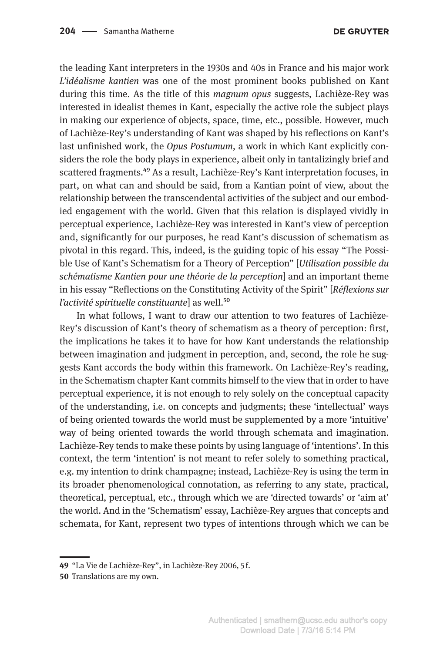the leading Kant interpreters in the 1930s and 40s in France and his major work *L'idéalisme kantien* was one of the most prominent books published on Kant during this time. As the title of this *magnum opus* suggests, Lachièze-Rey was interested in idealist themes in Kant, especially the active role the subject plays in making our experience of objects, space, time, etc., possible. However, much of Lachièze-Rey's understanding of Kant was shaped by his reflections on Kant's last unfinished work, the *Opus Postumum*, a work in which Kant explicitly considers the role the body plays in experience, albeit only in tantalizingly brief and scattered fragments.49 As a result, Lachièze-Rey's Kant interpretation focuses, in part, on what can and should be said, from a Kantian point of view, about the relationship between the transcendental activities of the subject and our embodied engagement with the world. Given that this relation is displayed vividly in perceptual experience, Lachièze-Rey was interested in Kant's view of perception and, significantly for our purposes, he read Kant's discussion of schematism as pivotal in this regard. This, indeed, is the guiding topic of his essay "The Possible Use of Kant's Schematism for a Theory of Perception" [*Utilisation possible du schématisme Kantien pour une théorie de la perception*] and an important theme in his essay "Reflections on the Constituting Activity of the Spirit" [*Réflexions sur l'activité spirituelle constituante*] as well.<sup>50</sup>

In what follows, I want to draw our attention to two features of Lachièze-Rey's discussion of Kant's theory of schematism as a theory of perception: first, the implications he takes it to have for how Kant understands the relationship between imagination and judgment in perception, and, second, the role he suggests Kant accords the body within this framework. On Lachièze-Rey's reading, in the Schematism chapter Kant commits himself to the view that in order to have perceptual experience, it is not enough to rely solely on the conceptual capacity of the understanding, i.e. on concepts and judgments; these 'intellectual' ways of being oriented towards the world must be supplemented by a more 'intuitive' way of being oriented towards the world through schemata and imagination. Lachièze-Rey tends to make these points by using language of 'intentions'. In this context, the term 'intention' is not meant to refer solely to something practical, e.g. my intention to drink champagne; instead, Lachièze-Rey is using the term in its broader phenomenological connotation, as referring to any state, practical, theoretical, perceptual, etc., through which we are 'directed towards' or 'aim at' the world. And in the 'Schematism' essay, Lachièze-Rey argues that concepts and schemata, for Kant, represent two types of intentions through which we can be

**<sup>49</sup>** "La Vie de Lachièze-Rey", in Lachièze-Rey 2006, 5 f.

**<sup>50</sup>** Translations are my own.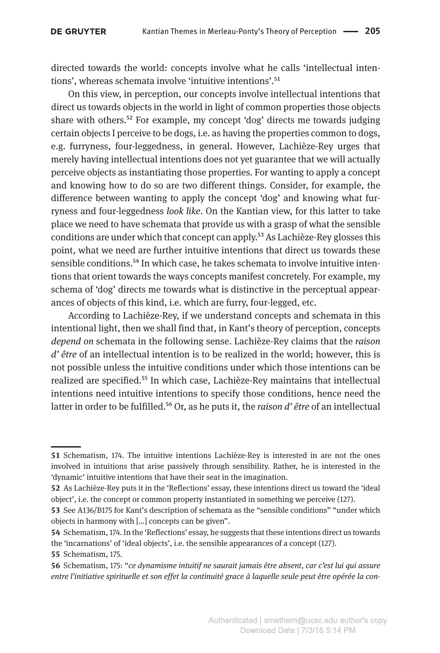directed towards the world: concepts involve what he calls 'intellectual intentions', whereas schemata involve 'intuitive intentions'.<sup>51</sup>

On this view, in perception, our concepts involve intellectual intentions that direct us towards objects in the world in light of common properties those objects share with others.<sup>52</sup> For example, my concept 'dog' directs me towards judging certain objects I perceive to be dogs, i.e. as having the properties common to dogs, e.g. furryness, four-leggedness, in general. However, Lachièze-Rey urges that merely having intellectual intentions does not yet guarantee that we will actually perceive objects as instantiating those properties. For wanting to apply a concept and knowing how to do so are two different things. Consider, for example, the difference between wanting to apply the concept 'dog' and knowing what furryness and four-leggedness *look like*. On the Kantian view, for this latter to take place we need to have schemata that provide us with a grasp of what the sensible conditions are under which that concept can apply.<sup>53</sup> As Lachièze-Rey glosses this point, what we need are further intuitive intentions that direct us towards these sensible conditions.<sup>54</sup> In which case, he takes schemata to involve intuitive intentions that orient towards the ways concepts manifest concretely. For example, my schema of 'dog' directs me towards what is distinctive in the perceptual appearances of objects of this kind, i.e. which are furry, four-legged, etc.

According to Lachièze-Rey, if we understand concepts and schemata in this intentional light, then we shall find that, in Kant's theory of perception, concepts *depend on* schemata in the following sense. Lachièze-Rey claims that the *raison d' être* of an intellectual intention is to be realized in the world; however, this is not possible unless the intuitive conditions under which those intentions can be realized are specified.<sup>55</sup> In which case, Lachièze-Rey maintains that intellectual intentions need intuitive intentions to specify those conditions, hence need the latter in order to be fulfilled.<sup>56</sup> Or, as he puts it, the *raison d'être* of an intellectual

**<sup>51</sup>** Schematism, 174. The intuitive intentions Lachièze-Rey is interested in are not the ones involved in intuitions that arise passively through sensibility. Rather, he is interested in the 'dynamic' intuitive intentions that have their seat in the imagination.

**<sup>52</sup>** As Lachièze-Rey puts it in the 'Reflections' essay, these intentions direct us toward the 'ideal object', i.e. the concept or common property instantiated in something we perceive (127).

**<sup>53</sup>** See A136/B175 for Kant's description of schemata as the "sensible conditions" "under which objects in harmony with […] concepts can be given".

**<sup>54</sup>** Schematism, 174. In the 'Reflections' essay, he suggests that these intentions direct us towards the 'incarnations' of 'ideal objects', i.e. the sensible appearances of a concept (127).

**<sup>55</sup>** Schematism, 175.

**<sup>56</sup>** Schematism, 175: "*ce dynamisme intuitif ne saurait jamais être absent, car c'est lui qui assure entre l'initiative spirituelle et son effet la continuité grace à laquelle seule peut être opérée la con-*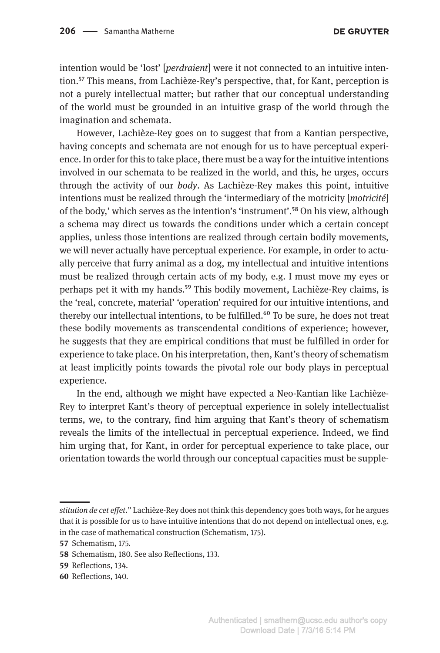intention would be 'lost' [*perdraient*] were it not connected to an intuitive intention.57 This means, from Lachièze-Rey's perspective, that, for Kant, perception is not a purely intellectual matter; but rather that our conceptual understanding of the world must be grounded in an intuitive grasp of the world through the imagination and schemata.

However, Lachièze-Rey goes on to suggest that from a Kantian perspective, having concepts and schemata are not enough for us to have perceptual experience. In order for this to take place, there must be a way for the intuitive intentions involved in our schemata to be realized in the world, and this, he urges, occurs through the activity of our *body*. As Lachièze-Rey makes this point, intuitive intentions must be realized through the 'intermediary of the motricity [*motricité*] of the body,' which serves as the intention's 'instrument'.58 On his view, although a schema may direct us towards the conditions under which a certain concept applies, unless those intentions are realized through certain bodily movements, we will never actually have perceptual experience. For example, in order to actually perceive that furry animal as a dog, my intellectual and intuitive intentions must be realized through certain acts of my body, e.g. I must move my eyes or perhaps pet it with my hands.59 This bodily movement, Lachièze-Rey claims, is the 'real, concrete, material' 'operation' required for our intuitive intentions, and thereby our intellectual intentions, to be fulfilled.<sup>60</sup> To be sure, he does not treat these bodily movements as transcendental conditions of experience; however, he suggests that they are empirical conditions that must be fulfilled in order for experience to take place. On his interpretation, then, Kant's theory of schematism at least implicitly points towards the pivotal role our body plays in perceptual experience.

In the end, although we might have expected a Neo-Kantian like Lachièze-Rey to interpret Kant's theory of perceptual experience in solely intellectualist terms, we, to the contrary, find him arguing that Kant's theory of schematism reveals the limits of the intellectual in perceptual experience. Indeed, we find him urging that, for Kant, in order for perceptual experience to take place, our orientation towards the world through our conceptual capacities must be supple-

*stitution de cet effet*." Lachièze-Rey does not think this dependency goes both ways, for he argues that it is possible for us to have intuitive intentions that do not depend on intellectual ones, e.g. in the case of mathematical construction (Schematism, 175).

**<sup>57</sup>** Schematism, 175.

**<sup>58</sup>** Schematism, 180. See also Reflections, 133.

**<sup>59</sup>** Reflections, 134.

**<sup>60</sup>** Reflections, 140.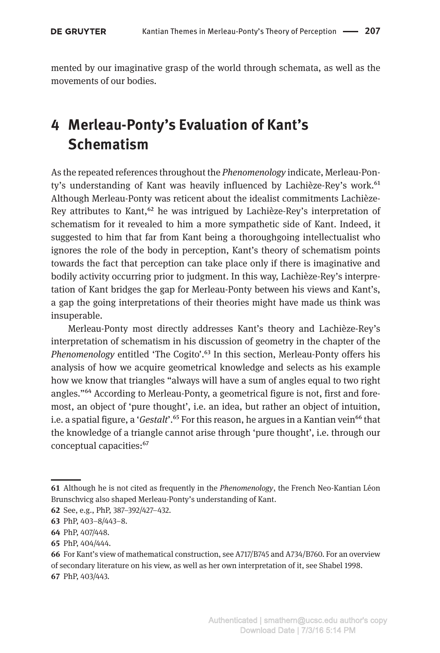mented by our imaginative grasp of the world through schemata, as well as the movements of our bodies.

# **4 Merleau-Ponty's Evaluation of Kant's Schematism**

As the repeated references throughout the *Phenomenology* indicate, Merleau-Ponty's understanding of Kant was heavily influenced by Lachièze-Rey's work.<sup>61</sup> Although Merleau-Ponty was reticent about the idealist commitments Lachièze-Rey attributes to Kant,  $62$  he was intrigued by Lachièze-Rey's interpretation of schematism for it revealed to him a more sympathetic side of Kant. Indeed, it suggested to him that far from Kant being a thoroughgoing intellectualist who ignores the role of the body in perception, Kant's theory of schematism points towards the fact that perception can take place only if there is imaginative and bodily activity occurring prior to judgment. In this way, Lachièze-Rey's interpretation of Kant bridges the gap for Merleau-Ponty between his views and Kant's, a gap the going interpretations of their theories might have made us think was insuperable.

Merleau-Ponty most directly addresses Kant's theory and Lachièze-Rey's interpretation of schematism in his discussion of geometry in the chapter of the *Phenomenology* entitled 'The Cogito'.<sup>63</sup> In this section, Merleau-Ponty offers his analysis of how we acquire geometrical knowledge and selects as his example how we know that triangles "always will have a sum of angles equal to two right angles."64 According to Merleau-Ponty, a geometrical figure is not, first and foremost, an object of 'pure thought', i.e. an idea, but rather an object of intuition, i.e. a spatial figure, a '*Gestalt*'.65 For this reason, he argues in a Kantian vein66 that the knowledge of a triangle cannot arise through 'pure thought', i.e. through our conceptual capacities:<sup>67</sup>

**<sup>61</sup>** Although he is not cited as frequently in the *Phenomenology*, the French Neo-Kantian Léon Brunschvicg also shaped Merleau-Ponty's understanding of Kant.

**<sup>62</sup>** See, e.g., PhP, 387–392/427–432.

**<sup>63</sup>** PhP, 403–8/443–8.

**<sup>64</sup>** PhP, 407/448.

**<sup>65</sup>** PhP, 404/444.

**<sup>66</sup>** For Kant's view of mathematical construction, see A717/B745 and A734/B760. For an overview of secondary literature on his view, as well as her own interpretation of it, see Shabel 1998. **67** PhP, 403/443.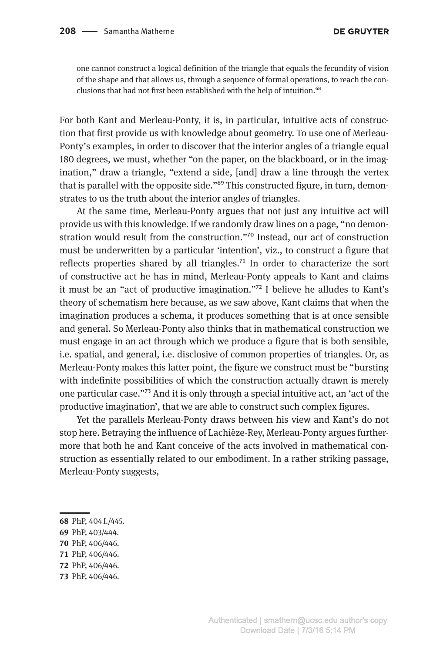one cannot construct a logical definition of the triangle that equals the fecundity of vision of the shape and that allows us, through a sequence of formal operations, to reach the conclusions that had not first been established with the help of intuition.<sup>68</sup>

For both Kant and Merleau-Ponty, it is, in particular, intuitive acts of construction that first provide us with knowledge about geometry. To use one of Merleau-Ponty's examples, in order to discover that the interior angles of a triangle equal 180 degrees, we must, whether "on the paper, on the blackboard, or in the imagination," draw a triangle, "extend a side, [and] draw a line through the vertex that is parallel with the opposite side."<sup>69</sup> This constructed figure, in turn, demonstrates to us the truth about the interior angles of triangles.

At the same time, Merleau-Ponty argues that not just any intuitive act will provide us with this knowledge. If we randomly draw lines on a page, "no demonstration would result from the construction."70 Instead, our act of construction must be underwritten by a particular 'intention', viz., to construct a figure that reflects properties shared by all triangles.<sup>71</sup> In order to characterize the sort of constructive act he has in mind, Merleau-Ponty appeals to Kant and claims it must be an "act of productive imagination."72 I believe he alludes to Kant's theory of schematism here because, as we saw above, Kant claims that when the imagination produces a schema, it produces something that is at once sensible and general. So Merleau-Ponty also thinks that in mathematical construction we must engage in an act through which we produce a figure that is both sensible, i.e. spatial, and general, i.e. disclosive of common properties of triangles. Or, as Merleau-Ponty makes this latter point, the figure we construct must be "bursting with indefinite possibilities of which the construction actually drawn is merely one particular case."73 And it is only through a special intuitive act, an 'act of the productive imagination', that we are able to construct such complex figures.

Yet the parallels Merleau-Ponty draws between his view and Kant's do not stop here. Betraying the influence of Lachièze-Rey, Merleau-Ponty argues furthermore that both he and Kant conceive of the acts involved in mathematical construction as essentially related to our embodiment. In a rather striking passage, Merleau-Ponty suggests,

- **68** PhP, 404 f./445.
- **69** PhP, 403/444.
- **70** PhP, 406/446.
- **71** PhP, 406/446.
- **72** PhP, 406/446.
- **73** PhP, 406/446.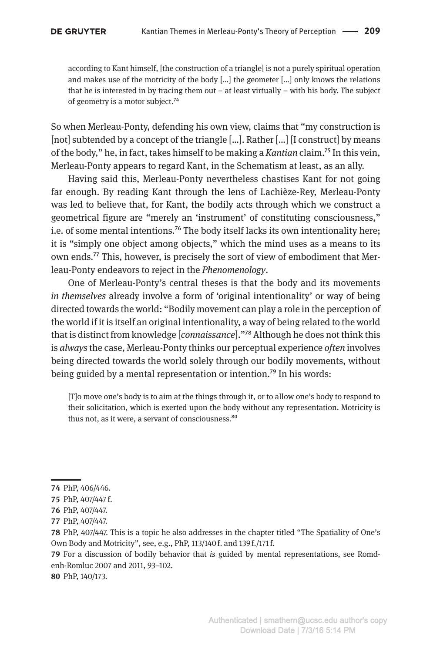according to Kant himself, [the construction of a triangle] is not a purely spiritual operation and makes use of the motricity of the body  $[\dots]$  the geometer  $[\dots]$  only knows the relations that he is interested in by tracing them out – at least virtually – with his body. The subject of geometry is a motor subject.74

So when Merleau-Ponty, defending his own view, claims that "my construction is [not] subtended by a concept of the triangle […]. Rather […] [I construct] by means of the body," he, in fact, takes himself to be making a *Kantian* claim.75 In this vein, Merleau-Ponty appears to regard Kant, in the Schematism at least, as an ally.

Having said this, Merleau-Ponty nevertheless chastises Kant for not going far enough. By reading Kant through the lens of Lachièze-Rey, Merleau-Ponty was led to believe that, for Kant, the bodily acts through which we construct a geometrical figure are "merely an 'instrument' of constituting consciousness," i.e. of some mental intentions.<sup>76</sup> The body itself lacks its own intentionality here; it is "simply one object among objects," which the mind uses as a means to its own ends.<sup>77</sup> This, however, is precisely the sort of view of embodiment that Merleau-Ponty endeavors to reject in the *Phenomenology*.

One of Merleau-Ponty's central theses is that the body and its movements *in themselves* already involve a form of 'original intentionality' or way of being directed towards the world: "Bodily movement can play a role in the perception of the world if it is itself an original intentionality, a way of being related to the world that is distinct from knowledge [*connaissance*]."78 Although he does not think this is *always* the case, Merleau-Ponty thinks our perceptual experience *often* involves being directed towards the world solely through our bodily movements, without being guided by a mental representation or intention.<sup>79</sup> In his words:

[T]o move one's body is to aim at the things through it, or to allow one's body to respond to their solicitation, which is exerted upon the body without any representation. Motricity is thus not, as it were, a servant of consciousness.<sup>80</sup>

**79** For a discussion of bodily behavior that *is* guided by mental representations, see Romdenh-Romluc 2007 and 2011, 93–102.

**80** PhP, 140/173.

**<sup>74</sup>** PhP, 406/446.

**<sup>75</sup>** PhP, 407/447 f.

**<sup>76</sup>** PhP, 407/447.

**<sup>77</sup>** PhP, 407/447.

**<sup>78</sup>** PhP, 407/447. This is a topic he also addresses in the chapter titled "The Spatiality of One's Own Body and Motricity", see, e.g., PhP, 113/140 f. and 139 f./171 f.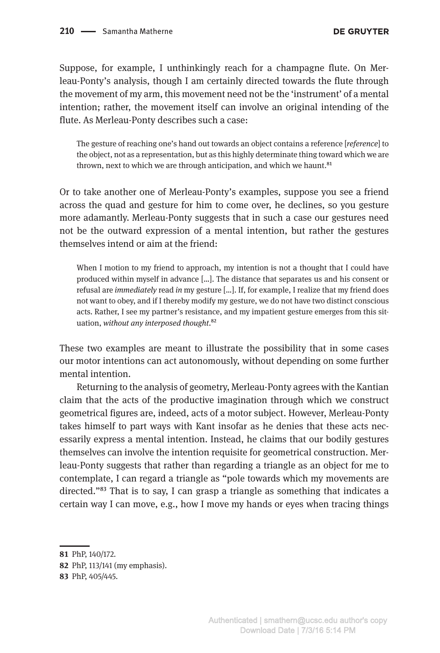Suppose, for example, I unthinkingly reach for a champagne flute. On Merleau-Ponty's analysis, though I am certainly directed towards the flute through the movement of my arm, this movement need not be the 'instrument' of a mental intention; rather, the movement itself can involve an original intending of the flute. As Merleau-Ponty describes such a case:

The gesture of reaching one's hand out towards an object contains a reference [*reference*] to the object, not as a representation, but as this highly determinate thing toward which we are thrown, next to which we are through anticipation, and which we haunt.<sup>81</sup>

Or to take another one of Merleau-Ponty's examples, suppose you see a friend across the quad and gesture for him to come over, he declines, so you gesture more adamantly. Merleau-Ponty suggests that in such a case our gestures need not be the outward expression of a mental intention, but rather the gestures themselves intend or aim at the friend:

When I motion to my friend to approach, my intention is not a thought that I could have produced within myself in advance […]. The distance that separates us and his consent or refusal are *immediately* read *in* my gesture […]. If, for example, I realize that my friend does not want to obey, and if I thereby modify my gesture, we do not have two distinct conscious acts. Rather, I see my partner's resistance, and my impatient gesture emerges from this situation, *without any interposed thought*.82

These two examples are meant to illustrate the possibility that in some cases our motor intentions can act autonomously, without depending on some further mental intention.

Returning to the analysis of geometry, Merleau-Ponty agrees with the Kantian claim that the acts of the productive imagination through which we construct geometrical figures are, indeed, acts of a motor subject. However, Merleau-Ponty takes himself to part ways with Kant insofar as he denies that these acts necessarily express a mental intention. Instead, he claims that our bodily gestures themselves can involve the intention requisite for geometrical construction. Merleau-Ponty suggests that rather than regarding a triangle as an object for me to contemplate, I can regard a triangle as "pole towards which my movements are directed."<sup>83</sup> That is to say, I can grasp a triangle as something that indicates a certain way I can move, e.g., how I move my hands or eyes when tracing things

**<sup>81</sup>** PhP, 140/172.

**<sup>82</sup>** PhP, 113/141 (my emphasis).

**<sup>83</sup>** PhP, 405/445.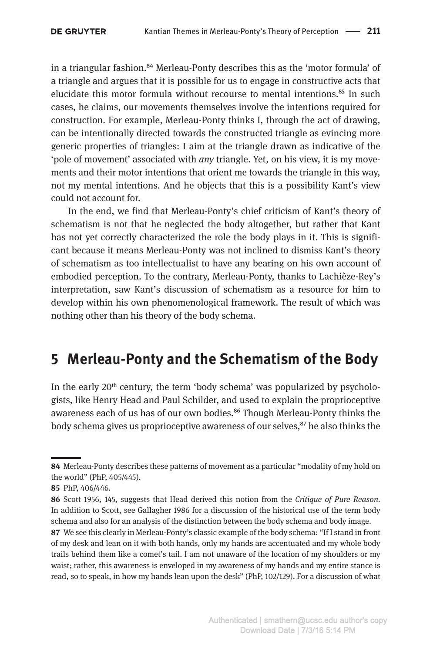in a triangular fashion.<sup>84</sup> Merleau-Ponty describes this as the 'motor formula' of a triangle and argues that it is possible for us to engage in constructive acts that elucidate this motor formula without recourse to mental intentions.<sup>85</sup> In such cases, he claims, our movements themselves involve the intentions required for construction. For example, Merleau-Ponty thinks I, through the act of drawing, can be intentionally directed towards the constructed triangle as evincing more generic properties of triangles: I aim at the triangle drawn as indicative of the 'pole of movement' associated with *any* triangle. Yet, on his view, it is my movements and their motor intentions that orient me towards the triangle in this way, not my mental intentions. And he objects that this is a possibility Kant's view could not account for.

In the end, we find that Merleau-Ponty's chief criticism of Kant's theory of schematism is not that he neglected the body altogether, but rather that Kant has not yet correctly characterized the role the body plays in it. This is significant because it means Merleau-Ponty was not inclined to dismiss Kant's theory of schematism as too intellectualist to have any bearing on his own account of embodied perception. To the contrary, Merleau-Ponty, thanks to Lachièze-Rey's interpretation, saw Kant's discussion of schematism as a resource for him to develop within his own phenomenological framework. The result of which was nothing other than his theory of the body schema.

## **5 Merleau-Ponty and the Schematism of the Body**

In the early  $20<sup>th</sup>$  century, the term 'body schema' was popularized by psychologists, like Henry Head and Paul Schilder, and used to explain the proprioceptive awareness each of us has of our own bodies.<sup>86</sup> Though Merleau-Ponty thinks the body schema gives us proprioceptive awareness of our selves,<sup>87</sup> he also thinks the

**<sup>84</sup>** Merleau-Ponty describes these patterns of movement as a particular "modality of my hold on the world" (PhP, 405/445).

**<sup>85</sup>** PhP, 406/446.

**<sup>86</sup>** Scott 1956, 145, suggests that Head derived this notion from the *Critique of Pure Reason*. In addition to Scott, see Gallagher 1986 for a discussion of the historical use of the term body schema and also for an analysis of the distinction between the body schema and body image.

**<sup>87</sup>** We see this clearly in Merleau-Ponty's classic example of the body schema: "If I stand in front of my desk and lean on it with both hands, only my hands are accentuated and my whole body trails behind them like a comet's tail. I am not unaware of the location of my shoulders or my waist; rather, this awareness is enveloped in my awareness of my hands and my entire stance is read, so to speak, in how my hands lean upon the desk" (PhP, 102/129). For a discussion of what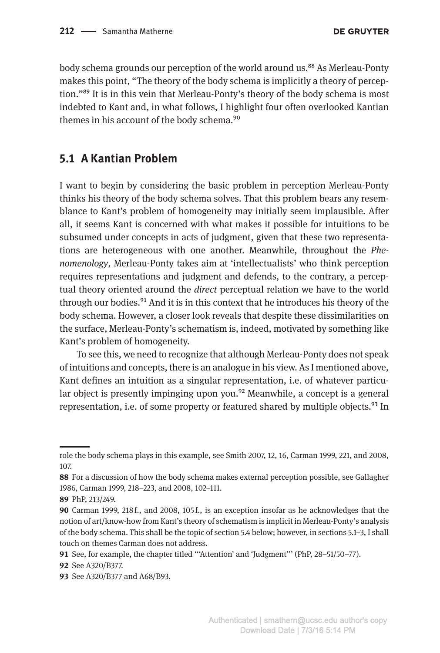body schema grounds our perception of the world around us.<sup>88</sup> As Merleau-Ponty makes this point, "The theory of the body schema is implicitly a theory of perception."89 It is in this vein that Merleau-Ponty's theory of the body schema is most indebted to Kant and, in what follows, I highlight four often overlooked Kantian themes in his account of the body schema.<sup>90</sup>

### **5.1 A Kantian Problem**

I want to begin by considering the basic problem in perception Merleau-Ponty thinks his theory of the body schema solves. That this problem bears any resemblance to Kant's problem of homogeneity may initially seem implausible. After all, it seems Kant is concerned with what makes it possible for intuitions to be subsumed under concepts in acts of judgment, given that these two representations are heterogeneous with one another. Meanwhile, throughout the *Phenomenology*, Merleau-Ponty takes aim at 'intellectualists' who think perception requires representations and judgment and defends, to the contrary, a perceptual theory oriented around the *direct* perceptual relation we have to the world through our bodies.<sup>91</sup> And it is in this context that he introduces his theory of the body schema. However, a closer look reveals that despite these dissimilarities on the surface, Merleau-Ponty's schematism is, indeed, motivated by something like Kant's problem of homogeneity.

To see this, we need to recognize that although Merleau-Ponty does not speak of intuitions and concepts, there is an analogue in his view. As I mentioned above, Kant defines an intuition as a singular representation, i.e. of whatever particular object is presently impinging upon you.<sup>92</sup> Meanwhile, a concept is a general representation, i.e. of some property or featured shared by multiple objects.<sup>93</sup> In

role the body schema plays in this example, see Smith 2007, 12, 16, Carman 1999, 221, and 2008, 107.

**<sup>88</sup>** For a discussion of how the body schema makes external perception possible, see Gallagher 1986, Carman 1999, 218–223, and 2008, 102–111.

**<sup>89</sup>** PhP, 213/249.

**<sup>90</sup>** Carman 1999, 218 f., and 2008, 105 f., is an exception insofar as he acknowledges that the notion of art/know-how from Kant's theory of schematism is implicit in Merleau-Ponty's analysis of the body schema. This shall be the topic of section 5.4 below; however, in sections 5.1–3, I shall touch on themes Carman does not address.

**<sup>91</sup>** See, for example, the chapter titled '''Attention' and 'Judgment''' (PhP, 28–51/50–77).

**<sup>92</sup>** See A320/B377.

**<sup>93</sup>** See A320/B377 and A68/B93.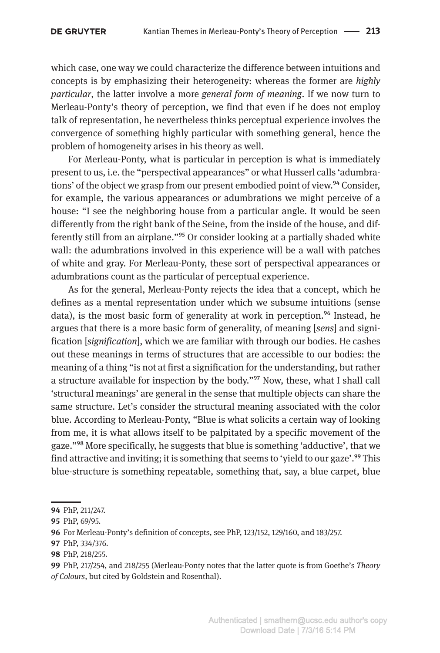which case, one way we could characterize the difference between intuitions and concepts is by emphasizing their heterogeneity: whereas the former are *highly particular*, the latter involve a more *general form of meaning*. If we now turn to Merleau-Ponty's theory of perception, we find that even if he does not employ talk of representation, he nevertheless thinks perceptual experience involves the convergence of something highly particular with something general, hence the problem of homogeneity arises in his theory as well.

For Merleau-Ponty, what is particular in perception is what is immediately present to us, i.e. the "perspectival appearances" or what Husserl calls 'adumbrations' of the object we grasp from our present embodied point of view.<sup>94</sup> Consider, for example, the various appearances or adumbrations we might perceive of a house: "I see the neighboring house from a particular angle. It would be seen differently from the right bank of the Seine, from the inside of the house, and differently still from an airplane."95 Or consider looking at a partially shaded white wall: the adumbrations involved in this experience will be a wall with patches of white and gray. For Merleau-Ponty, these sort of perspectival appearances or adumbrations count as the particular of perceptual experience.

As for the general, Merleau-Ponty rejects the idea that a concept, which he defines as a mental representation under which we subsume intuitions (sense data), is the most basic form of generality at work in perception.<sup>96</sup> Instead, he argues that there is a more basic form of generality, of meaning [*sens*] and signification [*signification*], which we are familiar with through our bodies. He cashes out these meanings in terms of structures that are accessible to our bodies: the meaning of a thing "is not at first a signification for the understanding, but rather a structure available for inspection by the body."<sup>97</sup> Now, these, what I shall call 'structural meanings' are general in the sense that multiple objects can share the same structure. Let's consider the structural meaning associated with the color blue. According to Merleau-Ponty, "Blue is what solicits a certain way of looking from me, it is what allows itself to be palpitated by a specific movement of the gaze."98 More specifically, he suggests that blue is something 'adductive', that we find attractive and inviting; it is something that seems to 'yield to our gaze'.<sup>99</sup> This blue-structure is something repeatable, something that, say, a blue carpet, blue

**98** PhP, 218/255.

**<sup>94</sup>** PhP, 211/247.

**<sup>95</sup>** PhP, 69/95.

**<sup>96</sup>** For Merleau-Ponty's definition of concepts, see PhP, 123/152, 129/160, and 183/257.

**<sup>97</sup>** PhP, 334/376.

**<sup>99</sup>** PhP, 217/254, and 218/255 (Merleau-Ponty notes that the latter quote is from Goethe's *Theory of Colours*, but cited by Goldstein and Rosenthal).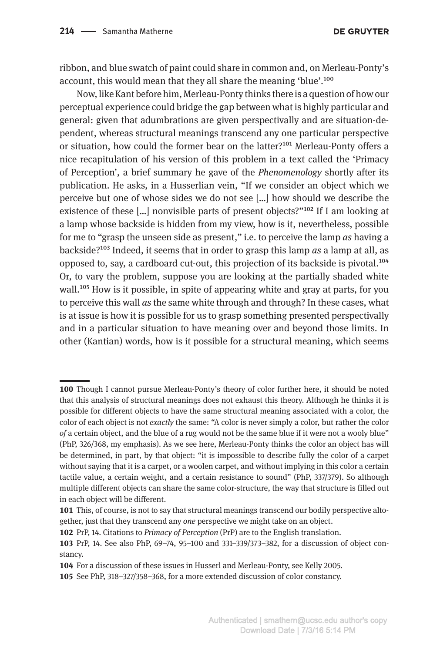**DE GRUYTER** 

ribbon, and blue swatch of paint could share in common and, on Merleau-Ponty's account, this would mean that they all share the meaning 'blue'.100

Now, like Kant before him, Merleau-Ponty thinks there is a question of how our perceptual experience could bridge the gap between what is highly particular and general: given that adumbrations are given perspectivally and are situation-dependent, whereas structural meanings transcend any one particular perspective or situation, how could the former bear on the latter?101 Merleau-Ponty offers a nice recapitulation of his version of this problem in a text called the 'Primacy of Perception', a brief summary he gave of the *Phenomenology* shortly after its publication. He asks, in a Husserlian vein, "If we consider an object which we perceive but one of whose sides we do not see […] how should we describe the existence of these  $\left[\ldots\right]$  nonvisible parts of present objects?"<sup>102</sup> If I am looking at a lamp whose backside is hidden from my view, how is it, nevertheless, possible for me to "grasp the unseen side as present," i.e. to perceive the lamp *as* having a backside?103 Indeed, it seems that in order to grasp this lamp *as* a lamp at all, as opposed to, say, a cardboard cut-out, this projection of its backside is pivotal.104 Or, to vary the problem, suppose you are looking at the partially shaded white wall.<sup>105</sup> How is it possible, in spite of appearing white and gray at parts, for you to perceive this wall *as* the same white through and through? In these cases, what is at issue is how it is possible for us to grasp something presented perspectivally and in a particular situation to have meaning over and beyond those limits. In other (Kantian) words, how is it possible for a structural meaning, which seems

**<sup>100</sup>** Though I cannot pursue Merleau-Ponty's theory of color further here, it should be noted that this analysis of structural meanings does not exhaust this theory. Although he thinks it is possible for different objects to have the same structural meaning associated with a color, the color of each object is not *exactly* the same: "A color is never simply a color, but rather the color *of* a certain object, and the blue of a rug would not be the same blue if it were not a wooly blue" (PhP, 326/368, my emphasis). As we see here, Merleau-Ponty thinks the color an object has will be determined, in part, by that object: "it is impossible to describe fully the color of a carpet without saying that it is a carpet, or a woolen carpet, and without implying in this color a certain tactile value, a certain weight, and a certain resistance to sound" (PhP, 337/379). So although multiple different objects can share the same color-structure, the way that structure is filled out in each object will be different.

**<sup>101</sup>** This, of course, is not to say that structural meanings transcend our bodily perspective altogether, just that they transcend any *one* perspective we might take on an object.

**<sup>102</sup>** PrP, 14. Citations to *Primacy of Perception* (PrP) are to the English translation.

**<sup>103</sup>** PrP, 14. See also PhP, 69–74, 95–100 and 331–339/373–382, for a discussion of object constancy.

**<sup>104</sup>** For a discussion of these issues in Husserl and Merleau-Ponty, see Kelly 2005.

**<sup>105</sup>** See PhP, 318–327/358–368, for a more extended discussion of color constancy.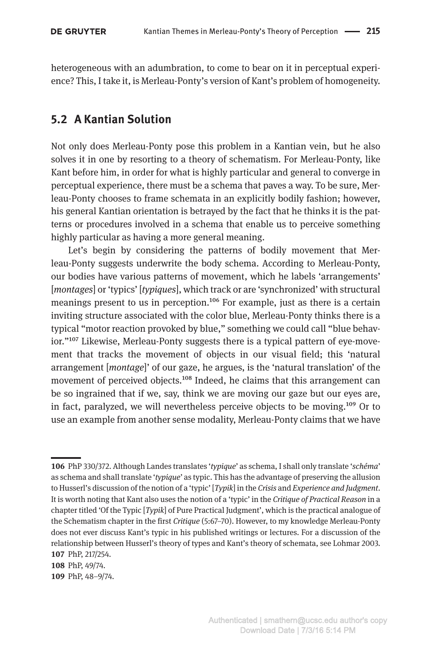heterogeneous with an adumbration, to come to bear on it in perceptual experience? This, I take it, is Merleau-Ponty's version of Kant's problem of homogeneity.

### **5.2 A Kantian Solution**

Not only does Merleau-Ponty pose this problem in a Kantian vein, but he also solves it in one by resorting to a theory of schematism. For Merleau-Ponty, like Kant before him, in order for what is highly particular and general to converge in perceptual experience, there must be a schema that paves a way. To be sure, Merleau-Ponty chooses to frame schemata in an explicitly bodily fashion; however, his general Kantian orientation is betrayed by the fact that he thinks it is the patterns or procedures involved in a schema that enable us to perceive something highly particular as having a more general meaning.

Let's begin by considering the patterns of bodily movement that Merleau-Ponty suggests underwrite the body schema. According to Merleau-Ponty, our bodies have various patterns of movement, which he labels 'arrangements' [*montages*] or 'typics' [*typiques*], which track or are 'synchronized' with structural meanings present to us in perception.<sup>106</sup> For example, just as there is a certain inviting structure associated with the color blue, Merleau-Ponty thinks there is a typical "motor reaction provoked by blue," something we could call "blue behavior."<sup>107</sup> Likewise, Merleau-Ponty suggests there is a typical pattern of eye-movement that tracks the movement of objects in our visual field; this 'natural arrangement [*montage*]' of our gaze, he argues, is the 'natural translation' of the movement of perceived objects.<sup>108</sup> Indeed, he claims that this arrangement can be so ingrained that if we, say, think we are moving our gaze but our eyes are, in fact, paralyzed, we will nevertheless perceive objects to be moving.<sup>109</sup> Or to use an example from another sense modality, Merleau-Ponty claims that we have

**<sup>106</sup>** PhP 330/372. Although Landes translates '*typique*' as schema, I shall only translate '*schéma*' as schema and shall translate '*typique*' as typic. This has the advantage of preserving the allusion to Husserl's discussion of the notion of a 'typic' [*Typik*] in the *Crisis* and *Experience and Judgment*. It is worth noting that Kant also uses the notion of a 'typic' in the *Critique of Practical Reason* in a chapter titled 'Of the Typic [*Typik*] of Pure Practical Judgment', which is the practical analogue of the Schematism chapter in the first *Critique* (5:67–70). However, to my knowledge Merleau-Ponty does not ever discuss Kant's typic in his published writings or lectures. For a discussion of the relationship between Husserl's theory of types and Kant's theory of schemata, see Lohmar 2003. **107** PhP, 217/254.

**<sup>108</sup>** PhP, 49/74.

**<sup>109</sup>** PhP, 48–9/74.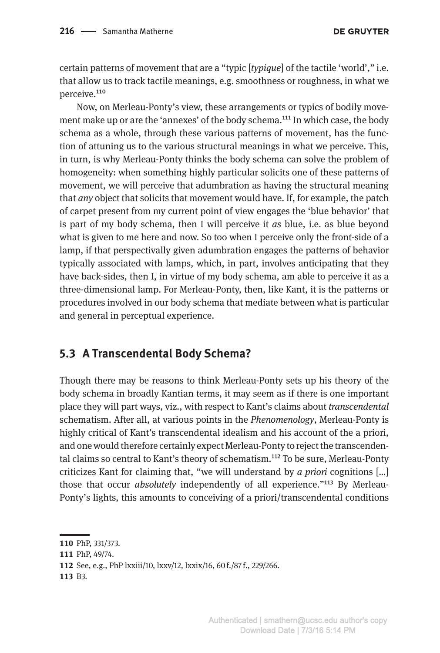certain patterns of movement that are a "typic [*typique*] of the tactile 'world'," i.e. that allow us to track tactile meanings, e.g. smoothness or roughness, in what we perceive.<sup>110</sup>

Now, on Merleau-Ponty's view, these arrangements or typics of bodily movement make up or are the 'annexes' of the body schema.<sup>111</sup> In which case, the body schema as a whole, through these various patterns of movement, has the function of attuning us to the various structural meanings in what we perceive. This, in turn, is why Merleau-Ponty thinks the body schema can solve the problem of homogeneity: when something highly particular solicits one of these patterns of movement, we will perceive that adumbration as having the structural meaning that *any* object that solicits that movement would have. If, for example, the patch of carpet present from my current point of view engages the 'blue behavior' that is part of my body schema, then I will perceive it *as* blue, i.e. as blue beyond what is given to me here and now. So too when I perceive only the front-side of a lamp, if that perspectivally given adumbration engages the patterns of behavior typically associated with lamps, which, in part, involves anticipating that they have back-sides, then I, in virtue of my body schema, am able to perceive it as a three-dimensional lamp. For Merleau-Ponty, then, like Kant, it is the patterns or procedures involved in our body schema that mediate between what is particular and general in perceptual experience.

### **5.3 A Transcendental Body Schema?**

Though there may be reasons to think Merleau-Ponty sets up his theory of the body schema in broadly Kantian terms, it may seem as if there is one important place they will part ways, viz., with respect to Kant's claims about *transcendental*  schematism. After all, at various points in the *Phenomenology*, Merleau-Ponty is highly critical of Kant's transcendental idealism and his account of the a priori, and one would therefore certainly expect Merleau-Ponty to reject the transcendental claims so central to Kant's theory of schematism.112 To be sure, Merleau-Ponty criticizes Kant for claiming that, "we will understand by *a priori* cognitions […] those that occur *absolutely* independently of all experience."113 By Merleau-Ponty's lights, this amounts to conceiving of a priori/transcendental conditions

**113** B3.

**<sup>110</sup>** PhP, 331/373.

**<sup>111</sup>** PhP, 49/74.

**<sup>112</sup>** See, e.g., PhP lxxiii/10, lxxv/12, lxxix/16, 60 f./87 f., 229/266.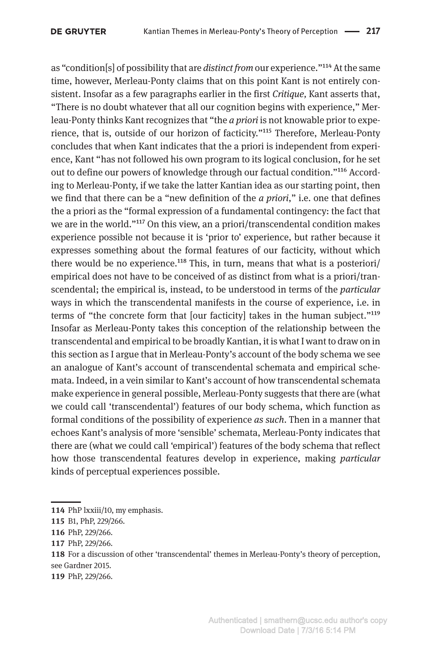as "condition[s] of possibility that are *distinct from* our experience."114 At the same time, however, Merleau-Ponty claims that on this point Kant is not entirely consistent. Insofar as a few paragraphs earlier in the first *Critique,* Kant asserts that, "There is no doubt whatever that all our cognition begins with experience," Merleau-Ponty thinks Kant recognizes that "the *a priori* is not knowable prior to experience, that is, outside of our horizon of facticity."115 Therefore, Merleau-Ponty concludes that when Kant indicates that the a priori is independent from experience, Kant "has not followed his own program to its logical conclusion, for he set out to define our powers of knowledge through our factual condition."116 According to Merleau-Ponty, if we take the latter Kantian idea as our starting point, then we find that there can be a "new definition of the *a priori*," i.e. one that defines the a priori as the "formal expression of a fundamental contingency: the fact that we are in the world."117 On this view, an a priori/transcendental condition makes experience possible not because it is 'prior to' experience, but rather because it expresses something about the formal features of our facticity, without which there would be no experience.<sup>118</sup> This, in turn, means that what is a posteriori/ empirical does not have to be conceived of as distinct from what is a priori/transcendental; the empirical is, instead, to be understood in terms of the *particular*  ways in which the transcendental manifests in the course of experience, i.e. in terms of "the concrete form that [our facticity] takes in the human subject."119 Insofar as Merleau-Ponty takes this conception of the relationship between the transcendental and empirical to be broadly Kantian, it is what I want to draw on in this section as I argue that in Merleau-Ponty's account of the body schema we see an analogue of Kant's account of transcendental schemata and empirical schemata. Indeed, in a vein similar to Kant's account of how transcendental schemata make experience in general possible, Merleau-Ponty suggests that there are (what we could call 'transcendental') features of our body schema, which function as formal conditions of the possibility of experience *as such*. Then in a manner that echoes Kant's analysis of more 'sensible' schemata, Merleau-Ponty indicates that there are (what we could call 'empirical') features of the body schema that reflect how those transcendental features develop in experience, making *particular*  kinds of perceptual experiences possible.

**<sup>114</sup>** PhP lxxiii/10, my emphasis.

**<sup>115</sup>** B1, PhP, 229/266.

**<sup>116</sup>** PhP, 229/266.

**<sup>117</sup>** PhP, 229/266.

**<sup>118</sup>** For a discussion of other 'transcendental' themes in Merleau-Ponty's theory of perception, see Gardner 2015.

**<sup>119</sup>** PhP, 229/266.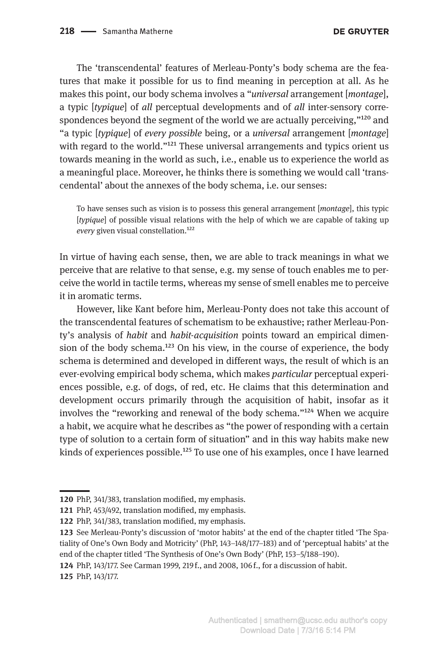The 'transcendental' features of Merleau-Ponty's body schema are the features that make it possible for us to find meaning in perception at all. As he makes this point, our body schema involves a "*universal* arrangement [*montage*], a typic [*typique*] of *all* perceptual developments and of *all* inter-sensory correspondences beyond the segment of the world we are actually perceiving,"<sup>120</sup> and "a typic [*typique*] of *every possible* being, or a *universal* arrangement [*montage*] with regard to the world."<sup>121</sup> These universal arrangements and typics orient us towards meaning in the world as such, i.e., enable us to experience the world as a meaningful place. Moreover, he thinks there is something we would call 'transcendental' about the annexes of the body schema, i.e. our senses:

To have senses such as vision is to possess this general arrangement [*montage*], this typic [*typique*] of possible visual relations with the help of which we are capable of taking up *every* given visual constellation.122

In virtue of having each sense, then, we are able to track meanings in what we perceive that are relative to that sense, e.g. my sense of touch enables me to perceive the world in tactile terms, whereas my sense of smell enables me to perceive it in aromatic terms.

However, like Kant before him, Merleau-Ponty does not take this account of the transcendental features of schematism to be exhaustive; rather Merleau-Ponty's analysis of *habit* and *habit-acquisition* points toward an empirical dimension of the body schema.<sup>123</sup> On his view, in the course of experience, the body schema is determined and developed in different ways, the result of which is an ever-evolving empirical body schema, which makes *particular* perceptual experiences possible, e.g. of dogs, of red, etc. He claims that this determination and development occurs primarily through the acquisition of habit, insofar as it involves the "reworking and renewal of the body schema."124 When we acquire a habit, we acquire what he describes as "the power of responding with a certain type of solution to a certain form of situation" and in this way habits make new kinds of experiences possible.<sup>125</sup> To use one of his examples, once I have learned

**125** PhP, 143/177.

**<sup>120</sup>** PhP, 341/383, translation modified, my emphasis.

**<sup>121</sup>** PhP, 453/492, translation modified, my emphasis.

**<sup>122</sup>** PhP, 341/383, translation modified, my emphasis.

**<sup>123</sup>** See Merleau-Ponty's discussion of 'motor habits' at the end of the chapter titled 'The Spatiality of One's Own Body and Motricity' (PhP, 143–148/177–183) and of 'perceptual habits' at the end of the chapter titled 'The Synthesis of One's Own Body' (PhP, 153–5/188–190).

**<sup>124</sup>** PhP, 143/177. See Carman 1999, 219 f., and 2008, 106 f., for a discussion of habit.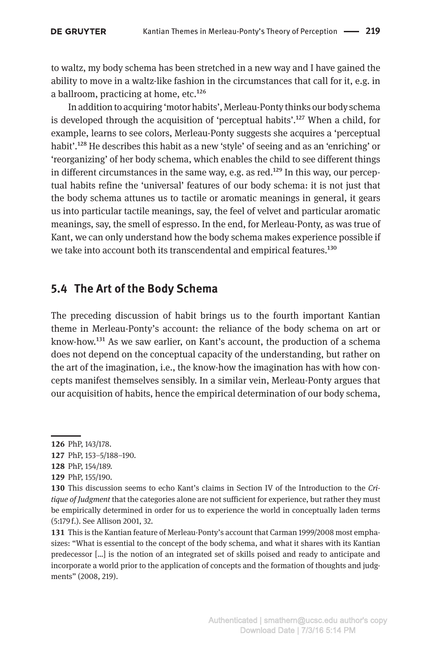to waltz, my body schema has been stretched in a new way and I have gained the ability to move in a waltz-like fashion in the circumstances that call for it, e.g. in a ballroom, practicing at home, etc.<sup>126</sup>

In addition to acquiring 'motor habits', Merleau-Ponty thinks our body schema is developed through the acquisition of 'perceptual habits'.<sup>127</sup> When a child, for example, learns to see colors, Merleau-Ponty suggests she acquires a 'perceptual habit'.<sup>128</sup> He describes this habit as a new 'style' of seeing and as an 'enriching' or 'reorganizing' of her body schema, which enables the child to see different things in different circumstances in the same way, e.g. as red.<sup>129</sup> In this way, our perceptual habits refine the 'universal' features of our body schema: it is not just that the body schema attunes us to tactile or aromatic meanings in general, it gears us into particular tactile meanings, say, the feel of velvet and particular aromatic meanings, say, the smell of espresso. In the end, for Merleau-Ponty, as was true of Kant, we can only understand how the body schema makes experience possible if we take into account both its transcendental and empirical features.<sup>130</sup>

### **5.4 The Art of the Body Schema**

The preceding discussion of habit brings us to the fourth important Kantian theme in Merleau-Ponty's account: the reliance of the body schema on art or know-how.131 As we saw earlier, on Kant's account, the production of a schema does not depend on the conceptual capacity of the understanding, but rather on the art of the imagination, i.e., the know-how the imagination has with how concepts manifest themselves sensibly. In a similar vein, Merleau-Ponty argues that our acquisition of habits, hence the empirical determination of our body schema,

**<sup>126</sup>** PhP, 143/178.

**<sup>127</sup>** PhP, 153–5/188–190.

**<sup>128</sup>** PhP, 154/189.

**<sup>129</sup>** PhP, 155/190.

**<sup>130</sup>** This discussion seems to echo Kant's claims in Section IV of the Introduction to the *Critique of Judgment* that the categories alone are not sufficient for experience, but rather they must be empirically determined in order for us to experience the world in conceptually laden terms (5:179 f.). See Allison 2001, 32.

**<sup>131</sup>** This is the Kantian feature of Merleau-Ponty's account that Carman 1999/2008 most emphasizes: "What is essential to the concept of the body schema, and what it shares with its Kantian predecessor […] is the notion of an integrated set of skills poised and ready to anticipate and incorporate a world prior to the application of concepts and the formation of thoughts and judgments" (2008, 219).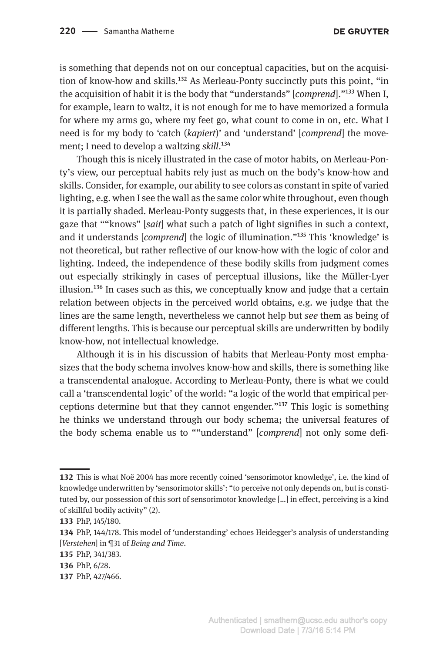is something that depends not on our conceptual capacities, but on the acquisition of know-how and skills.132 As Merleau-Ponty succinctly puts this point, "in the acquisition of habit it is the body that "understands" [*comprend*]."133 When I, for example, learn to waltz, it is not enough for me to have memorized a formula for where my arms go, where my feet go, what count to come in on, etc. What I need is for my body to 'catch (*kapiert*)' and 'understand' [*comprend*] the movement; I need to develop a waltzing *skill*.134

Though this is nicely illustrated in the case of motor habits, on Merleau-Ponty's view, our perceptual habits rely just as much on the body's know-how and skills. Consider, for example, our ability to see colors as constant in spite of varied lighting, e.g. when I see the wall as the same color white throughout, even though it is partially shaded. Merleau-Ponty suggests that, in these experiences, it is our gaze that ""knows" [*sait*] what such a patch of light signifies in such a context, and it understands [*comprend*] the logic of illumination."135 This 'knowledge' is not theoretical, but rather reflective of our know-how with the logic of color and lighting. Indeed, the independence of these bodily skills from judgment comes out especially strikingly in cases of perceptual illusions, like the Müller-Lyer  $i$ llusion.<sup>136</sup> In cases such as this, we conceptually know and judge that a certain relation between objects in the perceived world obtains, e.g. we judge that the lines are the same length, nevertheless we cannot help but *see* them as being of different lengths. This is because our perceptual skills are underwritten by bodily know-how, not intellectual knowledge.

Although it is in his discussion of habits that Merleau-Ponty most emphasizes that the body schema involves know-how and skills, there is something like a transcendental analogue. According to Merleau-Ponty, there is what we could call a 'transcendental logic' of the world: "a logic of the world that empirical perceptions determine but that they cannot engender." $137$  This logic is something he thinks we understand through our body schema; the universal features of the body schema enable us to ""understand" [*comprend*] not only some defi-

**<sup>132</sup>** This is what Noë 2004 has more recently coined 'sensorimotor knowledge', i.e. the kind of knowledge underwritten by 'sensorimotor skills': "to perceive not only depends on, but is constituted by, our possession of this sort of sensorimotor knowledge […] in effect, perceiving is a kind of skillful bodily activity" (2).

**<sup>133</sup>** PhP, 145/180.

**<sup>134</sup>** PhP, 144/178. This model of 'understanding' echoes Heidegger's analysis of understanding [*Verstehen*] in ¶31 of *Being and Time*.

**<sup>135</sup>** PhP, 341/383.

**<sup>136</sup>** PhP, 6/28.

**<sup>137</sup>** PhP, 427/466.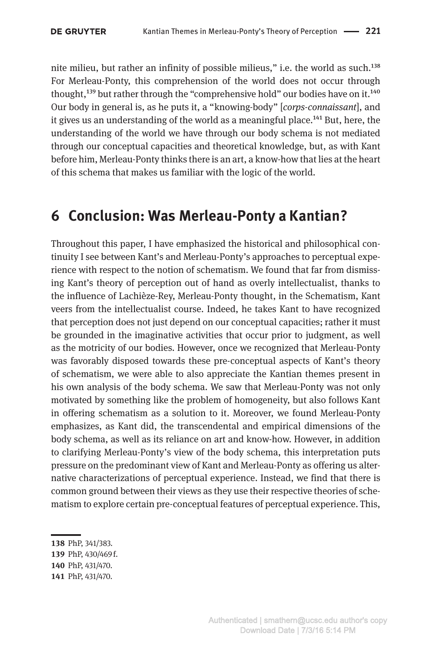nite milieu, but rather an infinity of possible milieus," i.e. the world as such.138 For Merleau-Ponty, this comprehension of the world does not occur through thought,<sup>139</sup> but rather through the "comprehensive hold" our bodies have on it.<sup>140</sup> Our body in general is, as he puts it, a "knowing-body" [*corps-connaissant*], and it gives us an understanding of the world as a meaningful place.<sup>141</sup> But, here, the understanding of the world we have through our body schema is not mediated through our conceptual capacities and theoretical knowledge, but, as with Kant before him, Merleau-Ponty thinks there is an art, a know-how that lies at the heart of this schema that makes us familiar with the logic of the world.

## **6 Conclusion: Was Merleau-Ponty a Kantian?**

Throughout this paper, I have emphasized the historical and philosophical continuity I see between Kant's and Merleau-Ponty's approaches to perceptual experience with respect to the notion of schematism. We found that far from dismissing Kant's theory of perception out of hand as overly intellectualist, thanks to the influence of Lachièze-Rey, Merleau-Ponty thought, in the Schematism, Kant veers from the intellectualist course. Indeed, he takes Kant to have recognized that perception does not just depend on our conceptual capacities; rather it must be grounded in the imaginative activities that occur prior to judgment, as well as the motricity of our bodies. However, once we recognized that Merleau-Ponty was favorably disposed towards these pre-conceptual aspects of Kant's theory of schematism, we were able to also appreciate the Kantian themes present in his own analysis of the body schema. We saw that Merleau-Ponty was not only motivated by something like the problem of homogeneity, but also follows Kant in offering schematism as a solution to it. Moreover, we found Merleau-Ponty emphasizes, as Kant did, the transcendental and empirical dimensions of the body schema, as well as its reliance on art and know-how. However, in addition to clarifying Merleau-Ponty's view of the body schema, this interpretation puts pressure on the predominant view of Kant and Merleau-Ponty as offering us alternative characterizations of perceptual experience. Instead, we find that there is common ground between their views as they use their respective theories of schematism to explore certain pre-conceptual features of perceptual experience. This,

**139** PhP, 430/469 f.

**<sup>138</sup>** PhP, 341/383.

**<sup>140</sup>** PhP, 431/470.

**<sup>141</sup>** PhP, 431/470.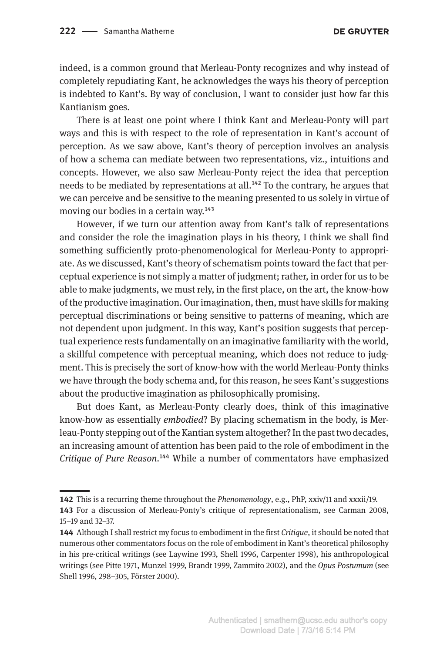indeed, is a common ground that Merleau-Ponty recognizes and why instead of completely repudiating Kant, he acknowledges the ways his theory of perception is indebted to Kant's. By way of conclusion, I want to consider just how far this Kantianism goes.

There is at least one point where I think Kant and Merleau-Ponty will part ways and this is with respect to the role of representation in Kant's account of perception. As we saw above, Kant's theory of perception involves an analysis of how a schema can mediate between two representations, viz., intuitions and concepts. However, we also saw Merleau-Ponty reject the idea that perception needs to be mediated by representations at all.<sup>142</sup> To the contrary, he argues that we can perceive and be sensitive to the meaning presented to us solely in virtue of moving our bodies in a certain way.<sup>143</sup>

However, if we turn our attention away from Kant's talk of representations and consider the role the imagination plays in his theory, I think we shall find something sufficiently proto-phenomenological for Merleau-Ponty to appropriate. As we discussed, Kant's theory of schematism points toward the fact that perceptual experience is not simply a matter of judgment; rather, in order for us to be able to make judgments, we must rely, in the first place, on the art, the know-how of the productive imagination. Our imagination, then, must have skills for making perceptual discriminations or being sensitive to patterns of meaning, which are not dependent upon judgment. In this way, Kant's position suggests that perceptual experience rests fundamentally on an imaginative familiarity with the world, a skillful competence with perceptual meaning, which does not reduce to judgment. This is precisely the sort of know-how with the world Merleau-Ponty thinks we have through the body schema and, for this reason, he sees Kant's suggestions about the productive imagination as philosophically promising.

But does Kant, as Merleau-Ponty clearly does, think of this imaginative know-how as essentially *embodied*? By placing schematism in the body, is Merleau-Ponty stepping out of the Kantian system altogether? In the past two decades, an increasing amount of attention has been paid to the role of embodiment in the *Critique of Pure Reason*.144 While a number of commentators have emphasized

**<sup>142</sup>** This is a recurring theme throughout the *Phenomenology*, e.g., PhP, xxiv/11 and xxxii/19.

**<sup>143</sup>** For a discussion of Merleau-Ponty's critique of representationalism, see Carman 2008, 15–19 and 32–37.

**<sup>144</sup>** Although I shall restrict my focus to embodiment in the first *Critique*, it should be noted that numerous other commentators focus on the role of embodiment in Kant's theoretical philosophy in his pre-critical writings (see Laywine 1993, Shell 1996, Carpenter 1998), his anthropological writings (see Pitte 1971, Munzel 1999, Brandt 1999, Zammito 2002), and the *Opus Postumum* (see Shell 1996, 298–305, Förster 2000).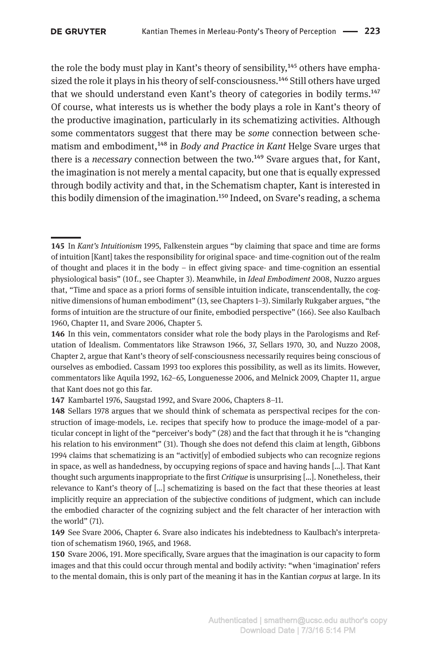the role the body must play in Kant's theory of sensibility, $145$  others have emphasized the role it plays in his theory of self-consciousness.146 Still others have urged that we should understand even Kant's theory of categories in bodily terms.147 Of course, what interests us is whether the body plays a role in Kant's theory of the productive imagination, particularly in its schematizing activities. Although some commentators suggest that there may be *some* connection between schematism and embodiment,148 in *Body and Practice in Kant* Helge Svare urges that there is a *necessary* connection between the two.<sup>149</sup> Svare argues that, for Kant, the imagination is not merely a mental capacity, but one that is equally expressed through bodily activity and that, in the Schematism chapter, Kant is interested in this bodily dimension of the imagination.150 Indeed, on Svare's reading, a schema

**147** Kambartel 1976, Saugstad 1992, and Svare 2006, Chapters 8–11.

**<sup>145</sup>** In *Kant's Intuitionism* 1995, Falkenstein argues "by claiming that space and time are forms of intuition [Kant] takes the responsibility for original space- and time-cognition out of the realm of thought and places it in the body – in effect giving space- and time-cognition an essential physiological basis" (10 f., see Chapter 3). Meanwhile, in *Ideal Embodiment* 2008, Nuzzo argues that, "Time and space as a priori forms of sensible intuition indicate, transcendentally, the cognitive dimensions of human embodiment" (13, see Chapters 1–3). Similarly Rukgaber argues, "the forms of intuition are the structure of our finite, embodied perspective" (166). See also Kaulbach 1960, Chapter 11, and Svare 2006, Chapter 5.

**<sup>146</sup>** In this vein, commentators consider what role the body plays in the Parologisms and Refutation of Idealism. Commentators like Strawson 1966, 37, Sellars 1970, 30, and Nuzzo 2008, Chapter 2, argue that Kant's theory of self-consciousness necessarily requires being conscious of ourselves as embodied. Cassam 1993 too explores this possibility, as well as its limits. However, commentators like Aquila 1992, 162–65, Longuenesse 2006, and Melnick 2009, Chapter 11, argue that Kant does not go this far.

**<sup>148</sup>** Sellars 1978 argues that we should think of schemata as perspectival recipes for the construction of image-models, i.e. recipes that specify how to produce the image-model of a particular concept in light of the "perceiver's body" (28) and the fact that through it he is "changing his relation to his environment" (31). Though she does not defend this claim at length, Gibbons 1994 claims that schematizing is an "activit  $[y]$  of embodied subjects who can recognize regions in space, as well as handedness, by occupying regions of space and having hands […]. That Kant thought such arguments inappropriate to the first *Critique* is unsurprising […]. Nonetheless, their relevance to Kant's theory of […] schematizing is based on the fact that these theories at least implicitly require an appreciation of the subjective conditions of judgment, which can include the embodied character of the cognizing subject and the felt character of her interaction with the world" (71).

**<sup>149</sup>** See Svare 2006, Chapter 6. Svare also indicates his indebtedness to Kaulbach's interpretation of schematism 1960, 1965, and 1968.

**<sup>150</sup>** Svare 2006, 191. More specifically, Svare argues that the imagination is our capacity to form images and that this could occur through mental and bodily activity: "when 'imagination' refers to the mental domain, this is only part of the meaning it has in the Kantian *corpus* at large. In its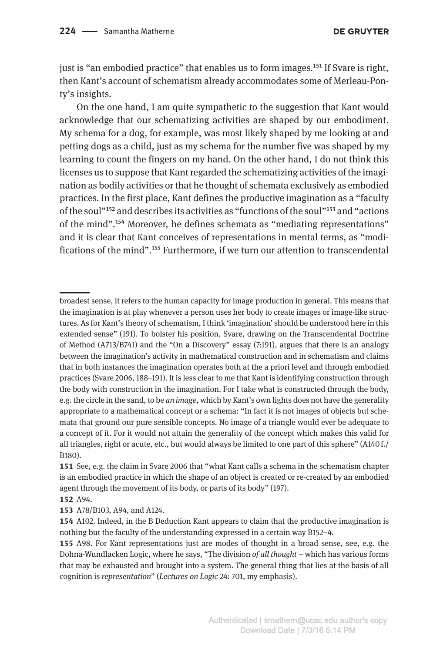just is "an embodied practice" that enables us to form images.<sup>151</sup> If Svare is right, then Kant's account of schematism already accommodates some of Merleau-Ponty's insights.

On the one hand, I am quite sympathetic to the suggestion that Kant would acknowledge that our schematizing activities are shaped by our embodiment. My schema for a dog, for example, was most likely shaped by me looking at and petting dogs as a child, just as my schema for the number five was shaped by my learning to count the fingers on my hand. On the other hand, I do not think this licenses us to suppose that Kant regarded the schematizing activities of the imagination as bodily activities or that he thought of schemata exclusively as embodied practices. In the first place, Kant defines the productive imagination as a "faculty of the soul"152 and describes its activities as "functions of the soul"153 and "actions of the mind".154 Moreover, he defines schemata as "mediating representations" and it is clear that Kant conceives of representations in mental terms, as "modifications of the mind".155 Furthermore, if we turn our attention to transcendental

broadest sense, it refers to the human capacity for image production in general. This means that the imagination is at play whenever a person uses her body to create images or image-like structures. As for Kant's theory of schematism, I think 'imagination' should be understood here in this extended sense" (191). To bolster his position, Svare, drawing on the Transcendental Doctrine of Method (A713/B741) and the "On a Discovery" essay (7:191), argues that there is an analogy between the imagination's activity in mathematical construction and in schematism and claims that in both instances the imagination operates both at the a priori level and through embodied practices (Svare 2006, 188–191). It is less clear to me that Kant is identifying construction through the body with construction in the imagination. For I take what is constructed through the body, e.g. the circle in the sand, to be *an image*, which by Kant's own lights does not have the generality appropriate to a mathematical concept or a schema: "In fact it is not images of objects but schemata that ground our pure sensible concepts. No image of a triangle would ever be adequate to a concept of it. For it would not attain the generality of the concept which makes this valid for all triangles, right or acute, etc., but would always be limited to one part of this sphere" (A140 f./ B180).

**<sup>151</sup>** See, e.g. the claim in Svare 2006 that "what Kant calls a schema in the schematism chapter is an embodied practice in which the shape of an object is created or re-created by an embodied agent through the movement of its body, or parts of its body" (197).

**<sup>152</sup>** A94.

**<sup>153</sup>** A78/B103, A94, and A124.

**<sup>154</sup>** A102. Indeed, in the B Deduction Kant appears to claim that the productive imagination is nothing but the faculty of the understanding expressed in a certain way B152–4.

**<sup>155</sup>** A98. For Kant representations just are modes of thought in a broad sense, see, e.g. the Dohna-Wundlacken Logic, where he says, "The division *of all thought* – which has various forms that may be exhausted and brought into a system. The general thing that lies at the basis of all cognition is *representation*" (*Lectures on Logic* 24: 701, my emphasis).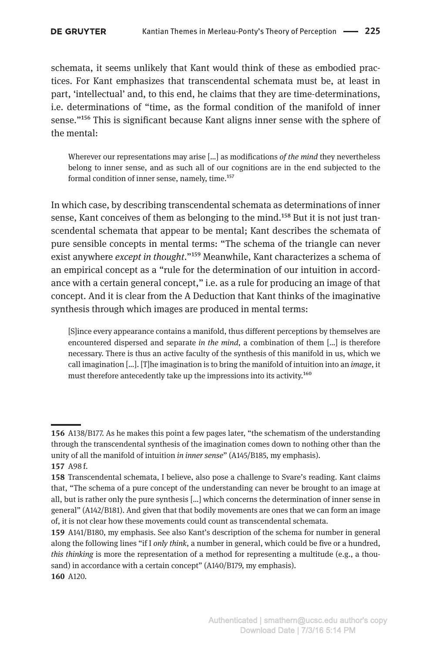schemata, it seems unlikely that Kant would think of these as embodied practices. For Kant emphasizes that transcendental schemata must be, at least in part, 'intellectual' and, to this end, he claims that they are time-determinations, i.e. determinations of "time, as the formal condition of the manifold of inner sense."156 This is significant because Kant aligns inner sense with the sphere of the mental:

Wherever our representations may arise […] as modifications *of the mind* they nevertheless belong to inner sense, and as such all of our cognitions are in the end subjected to the formal condition of inner sense, namely, time.<sup>157</sup>

In which case, by describing transcendental schemata as determinations of inner sense, Kant conceives of them as belonging to the mind.<sup>158</sup> But it is not just transcendental schemata that appear to be mental; Kant describes the schemata of pure sensible concepts in mental terms: "The schema of the triangle can never exist anywhere *except in thought*."159 Meanwhile, Kant characterizes a schema of an empirical concept as a "rule for the determination of our intuition in accordance with a certain general concept," i.e. as a rule for producing an image of that concept. And it is clear from the A Deduction that Kant thinks of the imaginative synthesis through which images are produced in mental terms:

[S]ince every appearance contains a manifold, thus different perceptions by themselves are encountered dispersed and separate *in the mind*, a combination of them […] is therefore necessary. There is thus an active faculty of the synthesis of this manifold in us, which we call imagination […]. [T]he imagination is to bring the manifold of intuition into an *image*, it must therefore antecedently take up the impressions into its activity.160

**<sup>156</sup>** A138/B177. As he makes this point a few pages later, "the schematism of the understanding through the transcendental synthesis of the imagination comes down to nothing other than the unity of all the manifold of intuition *in inner sense*" (A145/B185, my emphasis). **157** A98 f.

**<sup>158</sup>** Transcendental schemata, I believe, also pose a challenge to Svare's reading. Kant claims that, "The schema of a pure concept of the understanding can never be brought to an image at all, but is rather only the pure synthesis […] which concerns the determination of inner sense in general" (A142/B181). And given that that bodily movements are ones that we can form an image of, it is not clear how these movements could count as transcendental schemata.

**<sup>159</sup>** A141/B180, my emphasis. See also Kant's description of the schema for number in general along the following lines "if I *only think*, a number in general, which could be five or a hundred, *this thinking* is more the representation of a method for representing a multitude (e.g., a thousand) in accordance with a certain concept" (A140/B179, my emphasis). **160** A120.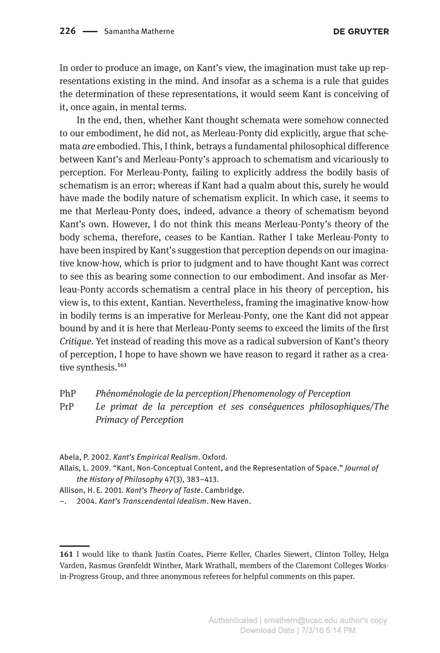In order to produce an image, on Kant's view, the imagination must take up representations existing in the mind. And insofar as a schema is a rule that guides the determination of these representations, it would seem Kant is conceiving of it, once again, in mental terms.

In the end, then, whether Kant thought schemata were somehow connected to our embodiment, he did not, as Merleau-Ponty did explicitly, argue that schemata *are* embodied. This, I think, betrays a fundamental philosophical difference between Kant's and Merleau-Ponty's approach to schematism and vicariously to perception. For Merleau-Ponty, failing to explicitly address the bodily basis of schematism is an error; whereas if Kant had a qualm about this, surely he would have made the bodily nature of schematism explicit. In which case, it seems to me that Merleau-Ponty does, indeed, advance a theory of schematism beyond Kant's own. However, I do not think this means Merleau-Ponty's theory of the body schema, therefore, ceases to be Kantian. Rather I take Merleau-Ponty to have been inspired by Kant's suggestion that perception depends on our imaginative know-how, which is prior to judgment and to have thought Kant was correct to see this as bearing some connection to our embodiment. And insofar as Merleau-Ponty accords schematism a central place in his theory of perception, his view is, to this extent, Kantian. Nevertheless, framing the imaginative know-how in bodily terms is an imperative for Merleau-Ponty, one the Kant did not appear bound by and it is here that Merleau-Ponty seems to exceed the limits of the first *Critique*. Yet instead of reading this move as a radical subversion of Kant's theory of perception, I hope to have shown we have reason to regard it rather as a creative synthesis.<sup>161</sup>

PhP *Phénoménologie de la perception*/*Phenomenology of Perception*

PrP *Le primat de la perception et ses conséquences philosophiques/The Primacy of Perception*

Abela, P. 2002. *Kant's Empirical Realism*. Oxford.

Allais, L. 2009. "Kant, Non-Conceptual Content, and the Representation of Space." *Journal of the History of Philosophy* 47(3), 383–413.

Allison, H. E. 2001. *Kant's Theory of Taste*. Cambridge.

<sup>–.</sup> 2004. *Kant's Transcendental Idealism*. New Haven.

**<sup>161</sup>** I would like to thank Justin Coates, Pierre Keller, Charles Siewert, Clinton Tolley, Helga Varden, Rasmus Grønfeldt Winther, Mark Wrathall, members of the Claremont Colleges Worksin-Progress Group, and three anonymous referees for helpful comments on this paper.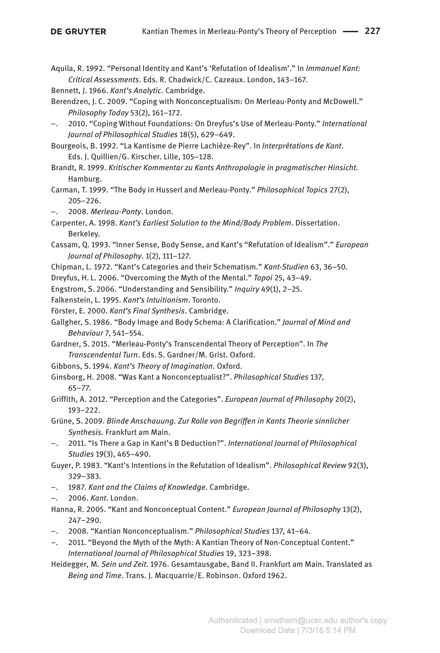- Aquila, R. 1992. "Personal Identity and Kant's 'Refutation of Idealism'." In *Immanuel Kant: Critical Assessments*. Eds. R. Chadwick/C. Cazeaux. London, 143–167.
- Bennett, J. 1966. *Kant's Analytic*. Cambridge.
- Berendzen, J. C. 2009. "Coping with Nonconceptualism: On Merleau-Ponty and McDowell." *Philosophy Today* 53(2), 161–172.
- –. 2010. "Coping Without Foundations: On Dreyfus's Use of Merleau-Ponty." *International Journal of Philosophical Studies* 18(5), 629–649.
- Bourgeois, B. 1992. "La Kantisme de Pierre Lachièze-Rey". In *Interprétations de Kant*. Eds. J. Quillien/G. Kirscher. Lille, 105–128.
- Brandt, R. 1999. *Kritischer Kommentar zu Kants Anthropologie in pragmatischer Hinsicht*. Hamburg.
- Carman, T. 1999. "The Body in Husserl and Merleau-Ponty." *Philosophical Topics* 27(2), 205–226.
- –. 2008. *Merleau-Ponty*. London.
- Carpenter, A. 1998. *Kant's Earliest Solution to the Mind/Body Problem*. Dissertation. Berkeley.
- Cassam, Q. 1993. "Inner Sense, Body Sense, and Kant's "Refutation of Idealism"." *European Journal of Philosophy*. 1(2), 111–127.
- Chipman, L. 1972. "Kant's Categories and their Schematism." *Kant-Studien* 63, 36–50.
- Dreyfus, H. L. 2006. "Overcoming the Myth of the Mental." *Topoi* 25, 43–49.
- Engstrom, S. 2006. "Understanding and Sensibility." *Inquiry* 49(1), 2–25.
- Falkenstein, L. 1995. *Kant's Intuitionism*. Toronto.
- Förster, E. 2000. *Kant's Final Synthesis*. Cambridge.
- Gallgher, S. 1986. "Body Image and Body Schema: A Clarification." *Journal of Mind and Behaviour* 7, 541–554.
- Gardner, S. 2015. "Merleau-Ponty's Transcendental Theory of Perception". In *The Transcendental Turn*. Eds. S. Gardner/M. Grist. Oxford.
- Gibbons, S. 1994. *Kant's Theory of Imagination*. Oxford.
- Ginsborg, H. 2008. "Was Kant a Nonconceptualist?". *Philosophical Studies* 137,
	- 65–77.
- Griffith, A. 2012. "Perception and the Categories". *European Journal of Philosophy* 20(2), 193–222.
- Grüne, S. 2009. *Blinde Anschauung. Zur Rolle von Begriffen in Kants Theorie sinnlicher Synthesis.* Frankfurt am Main.
- –. 2011. "Is There a Gap in Kant's B Deduction?". *International Journal of Philosophical Studies* 19(3), 465–490.
- Guyer, P. 1983. "Kant's Intentions in the Refutation of Idealism". *Philosophical Review* 92(3), 329–383.
- –. 1987. *Kant and the Claims of Knowledge*. Cambridge.
- –. 2006. *Kant*. London.
- Hanna, R. 2005. "Kant and Nonconceptual Content." *European Journal of Philosophy* 13(2), 247–290.
- –. 2008. "Kantian Nonconceptualism." *Philosophical Studies* 137, 41–64.
- –. 2011. "Beyond the Myth of the Myth: A Kantian Theory of Non-Conceptual Content." *International Journal of Philosophical Studies* 19, 323–398.
- Heidegger, M. *Sein und Zeit*. 1976. Gesamtausgabe, Band II. Frankfurt am Main. Translated as *Being and Time*. Trans. J. Macquarrie/E. Robinson. Oxford 1962.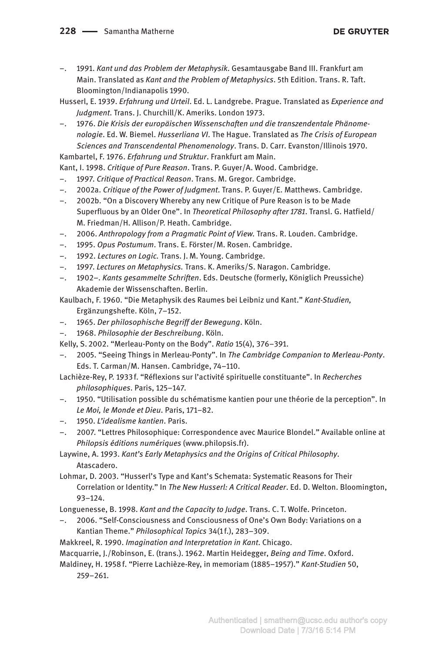#### 228 - Samantha Matherne

#### **DE GRUYTER**

- –. 1991. *Kant und das Problem der Metaphysik*. Gesamtausgabe Band III. Frankfurt am Main. Translated as *Kant and the Problem of Metaphysics*. 5th Edition. Trans. R. Taft. Bloomington/Indianapolis 1990.
- Husserl, E. 1939. *Erfahrung und Urteil*. Ed. L. Landgrebe. Prague. Translated as *Experience and Judgment*. Trans. J. Churchill/K. Ameriks. London 1973.
- –. 1976. *Die Krisis der europäischen Wissenschaften und die transzendentale Phänomenologie*. Ed. W. Biemel. *Husserliana VI*. The Hague. Translated as *The Crisis of European Sciences and Transcendental Phenomenology*. Trans. D. Carr. Evanston/Illinois 1970. Kambartel, F. 1976. *Erfahrung und Struktur*. Frankfurt am Main.

Kant, I. 1998. *Critique of Pure Reason*. Trans. P. Guyer/A. Wood. Cambridge.

- –. 1997. *Critique of Practical Reason*. Trans. M. Gregor. Cambridge.
- –. 2002a. *Critique of the Power of Judgment*. Trans. P. Guyer/E. Matthews. Cambridge.
- –. 2002b. "On a Discovery Whereby any new Critique of Pure Reason is to be Made Superfluous by an Older One". In *Theoretical Philosophy after 1781*. Transl. G. Hatfield/ M. Friedman/H. Allison/P. Heath. Cambridge.
- –. 2006. *Anthropology from a Pragmatic Point of View.* Trans. R. Louden. Cambridge.
- –. 1995. *Opus Postumum*. Trans. E. Förster/M. Rosen. Cambridge.
- –. 1992. *Lectures on Logic.* Trans. J. M. Young. Cambridge.
- –. 1997. *Lectures on Metaphysics.* Trans. K. Ameriks/S. Naragon. Cambridge.
- –. 1902–. *Kants gesammelte Schriften*. Eds. Deutsche (formerly, Königlich Preussiche) Akademie der Wissenschaften. Berlin.

Kaulbach, F. 1960. "Die Metaphysik des Raumes bei Leibniz und Kant." *Kant-Studien,* Ergänzungshefte. Köln, 7–152.

- –. 1965. *Der philosophische Begriff der Bewegung*. Köln.
- –. 1968. *Philosophie der Beschreibung*. Köln.

Kelly, S. 2002. "Merleau-Ponty on the Body". *Ratio* 15(4), 376–391.

- –. 2005. "Seeing Things in Merleau-Ponty". In *The Cambridge Companion to Merleau-Ponty*. Eds. T. Carman/M. Hansen. Cambridge, 74–110.
- Lachièze-Rey, P. 1933 f. "Réflexions sur l'activité spirituelle constituante". In *Recherches philosophiques*. Paris, 125–147.
- –. 1950. "Utilisation possible du schématisme kantien pour une théorie de la perception". In *Le Moi, le Monde et Dieu*. Paris, 171–82.
- –. 1950. *L'idealisme kantien*. Paris.
- –. 2007. "Lettres Philosophique: Correspondence avec Maurice Blondel." Available online at *Philopsis éditions numériques* (www.philopsis.fr).
- Laywine, A. 1993. *Kant's Early Metaphysics and the Origins of Critical Philosophy*. Atascadero.

Lohmar, D. 2003. "Husserl's Type and Kant's Schemata: Systematic Reasons for Their Correlation or Identity." In *The New Husserl: A Critical Reader*. Ed. D. Welton. Bloomington, 93–124.

Longuenesse, B. 1998. *Kant and the Capacity to Judge*. Trans. C. T. Wolfe. Princeton.

- –. 2006. "Self-Consciousness and Consciousness of One's Own Body: Variations on a Kantian Theme." *Philosophical Topics* 34(1 f.), 283–309.
- Makkreel, R. 1990. *Imagination and Interpretation in Kant*. Chicago.

Macquarrie, J./Robinson, E. (trans.). 1962. Martin Heidegger, *Being and Time*. Oxford.

Maldiney, H. 1958 f. "Pierre Lachièze-Rey, in memoriam (1885–1957)." *Kant-Studien* 50, 259–261.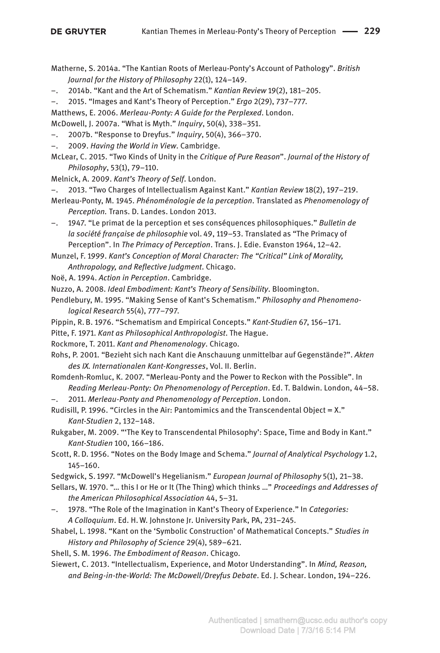- Matherne, S. 2014a. "The Kantian Roots of Merleau-Ponty's Account of Pathology". *British Journal for the History of Philosophy* 22(1), 124–149.
- –. 2014b. "Kant and the Art of Schematism." *Kantian Review* 19(2), 181–205.
- –. 2015. "Images and Kant's Theory of Perception." *Ergo* 2(29), 737–777.
- Matthews, E. 2006. *Merleau-Ponty: A Guide for the Perplexed*. London.
- McDowell, J. 2007a. "What is Myth." *Inquiry*, 50(4), 338–351.
- –. 2007b. "Response to Dreyfus." *Inquiry*, 50(4), 366–370.
- –. 2009. *Having the World in View*. Cambridge.
- McLear, C. 2015. "Two Kinds of Unity in the *Critique of Pure Reason*". *Journal of the History of Philosophy*, 53(1), 79–110.
- Melnick, A. 2009. *Kant's Theory of Self*. London.
- –. 2013. "Two Charges of Intellectualism Against Kant." *Kantian Review* 18(2), 197–219.
- Merleau-Ponty, M. 1945. *Phénoménologie de la perception*. Translated as *Phenomenology of Perception.* Trans. D. Landes. London 2013.
- –. 1947. "Le primat de la perception et ses conséquences philosophiques." *Bulletin de la société française de philosophie* vol. 49, 119–53. Translated as "The Primacy of Perception". In *The Primacy of Perception*. Trans. J. Edie. Evanston 1964, 12–42.
- Munzel, F. 1999. *Kant's Conception of Moral Character: The "Critical" Link of Morality, Anthropology, and Reflective Judgment*. Chicago.
- Noë, A. 1994. *Action in Perception*. Cambridge.
- Nuzzo, A. 2008. *Ideal Embodiment: Kant's Theory of Sensibility*. Bloomington.
- Pendlebury, M. 1995. "Making Sense of Kant's Schematism." *Philosophy and Phenomenological Research* 55(4), 777–797.
- Pippin, R. B. 1976. "Schematism and Empirical Concepts." *Kant-Studien* 67, 156–171.
- Pitte, F. 1971. *Kant as Philosophical Anthropologist*. The Hague.
- Rockmore, T. 2011. *Kant and Phenomenology*. Chicago.
- Rohs, P. 2001. "Bezieht sich nach Kant die Anschauung unmittelbar auf Gegenstände?". *Akten des IX. Internationalen Kant-Kongresses*, Vol. II. Berlin.
- Romdenh-Romluc, K. 2007. "Merleau-Ponty and the Power to Reckon with the Possible". In *Reading Merleau-Ponty: On Phenomenology of Perception*. Ed. T. Baldwin. London, 44–58.
- –. 2011. *Merleau-Ponty and Phenomenology of Perception*. London.
- Rudisill, P. 1996. "Circles in the Air: Pantomimics and the Transcendental Object =  $X$ ." *Kant-Studien* 2, 132–148.
- Rukgaber, M. 2009. "'The Key to Transcendental Philosophy': Space, Time and Body in Kant." *Kant-Studien* 100, 166–186.
- Scott, R. D. 1956. "Notes on the Body Image and Schema." *Journal of Analytical Psychology* 1.2, 145–160.
- Sedgwick, S. 1997. "McDowell's Hegelianism." *European Journal of Philosophy* 5(1), 21–38.
- Sellars, W. 1970. "… this I or He or It (The Thing) which thinks …" *Proceedings and Addresses of the American Philosophical Association* 44, 5–31.
- –. 1978. "The Role of the Imagination in Kant's Theory of Experience." In *Categories: A Colloquium*. Ed. H. W. Johnstone Jr. University Park, PA, 231–245.
- Shabel, L. 1998. "Kant on the 'Symbolic Construction' of Mathematical Concepts." *Studies in History and Philosophy of Science* 29(4), 589–621.
- Shell, S. M. 1996. *The Embodiment of Reason*. Chicago.
- Siewert, C. 2013. "Intellectualism, Experience, and Motor Understanding". In *Mind, Reason, and Being-in-the-World: The McDowell/Dreyfus Debate*. Ed. J. Schear. London, 194–226.